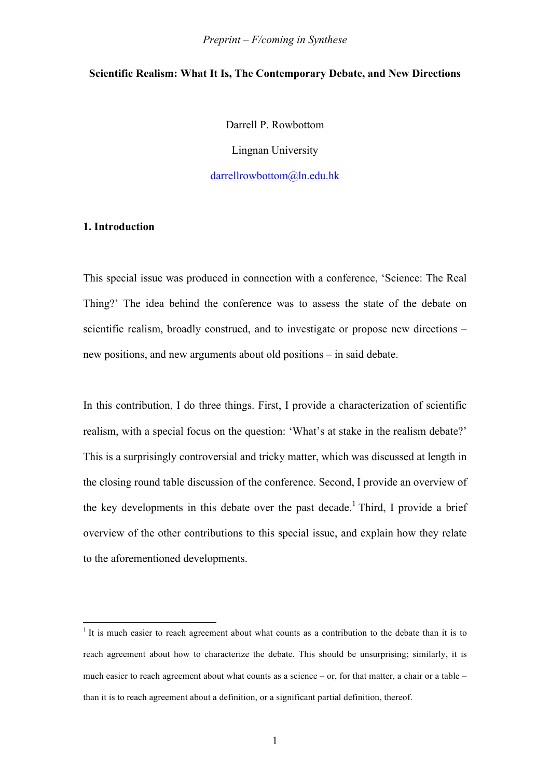#### **Scientific Realism: What It Is, The Contemporary Debate, and New Directions**

Darrell P. Rowbottom

Lingnan University

darrellrowbottom@ln.edu.hk

## **1. Introduction**

This special issue was produced in connection with a conference, 'Science: The Real Thing?' The idea behind the conference was to assess the state of the debate on scientific realism, broadly construed, and to investigate or propose new directions – new positions, and new arguments about old positions – in said debate.

In this contribution, I do three things. First, I provide a characterization of scientific realism, with a special focus on the question: 'What's at stake in the realism debate?' This is a surprisingly controversial and tricky matter, which was discussed at length in the closing round table discussion of the conference. Second, I provide an overview of the key developments in this debate over the past decade.<sup>1</sup> Third, I provide a brief overview of the other contributions to this special issue, and explain how they relate to the aforementioned developments.

 $<sup>1</sup>$  It is much easier to reach agreement about what counts as a contribution to the debate than it is to</sup> reach agreement about how to characterize the debate. This should be unsurprising; similarly, it is much easier to reach agreement about what counts as a science – or, for that matter, a chair or a table – than it is to reach agreement about a definition, or a significant partial definition, thereof.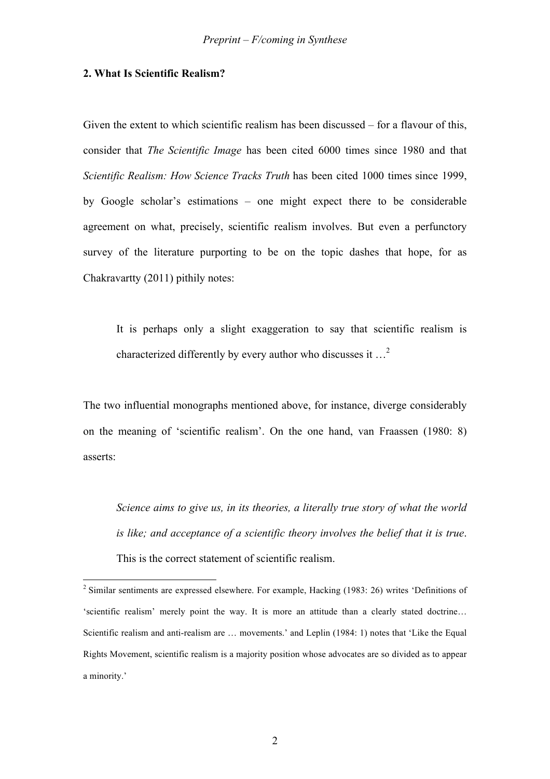#### **2. What Is Scientific Realism?**

Given the extent to which scientific realism has been discussed – for a flavour of this, consider that *The Scientific Image* has been cited 6000 times since 1980 and that *Scientific Realism: How Science Tracks Truth* has been cited 1000 times since 1999, by Google scholar's estimations – one might expect there to be considerable agreement on what, precisely, scientific realism involves. But even a perfunctory survey of the literature purporting to be on the topic dashes that hope, for as Chakravartty (2011) pithily notes:

It is perhaps only a slight exaggeration to say that scientific realism is characterized differently by every author who discusses it …2

The two influential monographs mentioned above, for instance, diverge considerably on the meaning of 'scientific realism'. On the one hand, van Fraassen (1980: 8) asserts:

*Science aims to give us, in its theories, a literally true story of what the world is like; and acceptance of a scientific theory involves the belief that it is true*. This is the correct statement of scientific realism.

<sup>&</sup>lt;sup>2</sup> Similar sentiments are expressed elsewhere. For example, Hacking (1983: 26) writes 'Definitions of 'scientific realism' merely point the way. It is more an attitude than a clearly stated doctrine… Scientific realism and anti-realism are … movements.' and Leplin (1984: 1) notes that 'Like the Equal Rights Movement, scientific realism is a majority position whose advocates are so divided as to appear a minority.'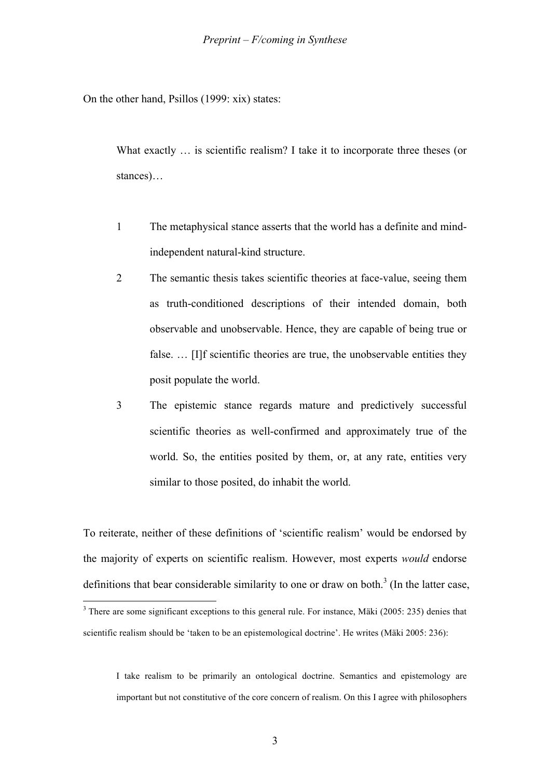On the other hand, Psillos (1999: xix) states:

What exactly ... is scientific realism? I take it to incorporate three theses (or stances)…

- 1 The metaphysical stance asserts that the world has a definite and mindindependent natural-kind structure.
- 2 The semantic thesis takes scientific theories at face-value, seeing them as truth-conditioned descriptions of their intended domain, both observable and unobservable. Hence, they are capable of being true or false. ... [I]f scientific theories are true, the unobservable entities they posit populate the world.
- 3 The epistemic stance regards mature and predictively successful scientific theories as well-confirmed and approximately true of the world. So, the entities posited by them, or, at any rate, entities very similar to those posited, do inhabit the world.

To reiterate, neither of these definitions of 'scientific realism' would be endorsed by the majority of experts on scientific realism. However, most experts *would* endorse definitions that bear considerable similarity to one or draw on both.<sup>3</sup> (In the latter case,

<sup>&</sup>lt;sup>3</sup> There are some significant exceptions to this general rule. For instance, Mäki (2005: 235) denies that scientific realism should be 'taken to be an epistemological doctrine'. He writes (Mäki 2005: 236):

I take realism to be primarily an ontological doctrine. Semantics and epistemology are important but not constitutive of the core concern of realism. On this I agree with philosophers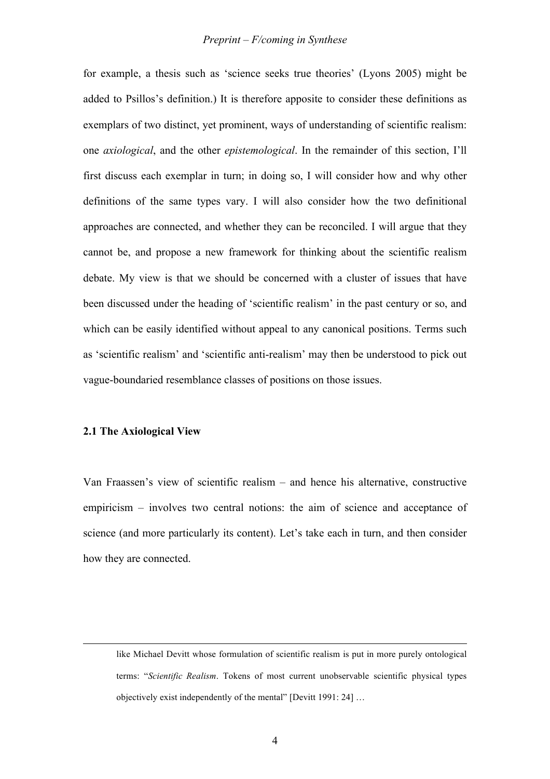for example, a thesis such as 'science seeks true theories' (Lyons 2005) might be added to Psillos's definition.) It is therefore apposite to consider these definitions as exemplars of two distinct, yet prominent, ways of understanding of scientific realism: one *axiological*, and the other *epistemological*. In the remainder of this section, I'll first discuss each exemplar in turn; in doing so, I will consider how and why other definitions of the same types vary. I will also consider how the two definitional approaches are connected, and whether they can be reconciled. I will argue that they cannot be, and propose a new framework for thinking about the scientific realism debate. My view is that we should be concerned with a cluster of issues that have been discussed under the heading of 'scientific realism' in the past century or so, and which can be easily identified without appeal to any canonical positions. Terms such as 'scientific realism' and 'scientific anti-realism' may then be understood to pick out vague-boundaried resemblance classes of positions on those issues.

## **2.1 The Axiological View**

 $\overline{a}$ 

Van Fraassen's view of scientific realism – and hence his alternative, constructive empiricism – involves two central notions: the aim of science and acceptance of science (and more particularly its content). Let's take each in turn, and then consider how they are connected.

like Michael Devitt whose formulation of scientific realism is put in more purely ontological terms: "*Scientific Realism*. Tokens of most current unobservable scientific physical types objectively exist independently of the mental" [Devitt 1991: 24] …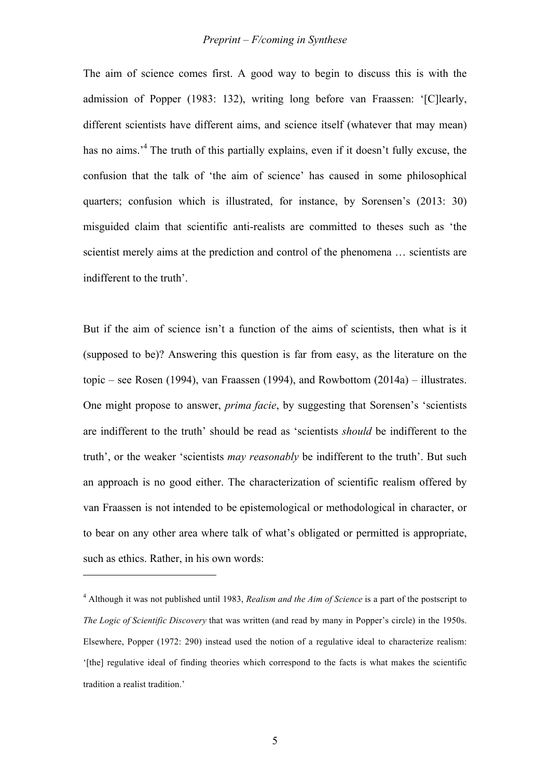The aim of science comes first. A good way to begin to discuss this is with the admission of Popper (1983: 132), writing long before van Fraassen: '[C]learly, different scientists have different aims, and science itself (whatever that may mean) has no aims.<sup>4</sup> The truth of this partially explains, even if it doesn't fully excuse, the confusion that the talk of 'the aim of science' has caused in some philosophical quarters; confusion which is illustrated, for instance, by Sorensen's (2013: 30) misguided claim that scientific anti-realists are committed to theses such as 'the scientist merely aims at the prediction and control of the phenomena … scientists are indifferent to the truth'.

But if the aim of science isn't a function of the aims of scientists, then what is it (supposed to be)? Answering this question is far from easy, as the literature on the topic – see Rosen (1994), van Fraassen (1994), and Rowbottom (2014a) – illustrates. One might propose to answer, *prima facie*, by suggesting that Sorensen's 'scientists are indifferent to the truth' should be read as 'scientists *should* be indifferent to the truth', or the weaker 'scientists *may reasonably* be indifferent to the truth'. But such an approach is no good either. The characterization of scientific realism offered by van Fraassen is not intended to be epistemological or methodological in character, or to bear on any other area where talk of what's obligated or permitted is appropriate, such as ethics. Rather, in his own words:

 $\overline{a}$ 

<sup>4</sup> Although it was not published until 1983, *Realism and the Aim of Science* is a part of the postscript to *The Logic of Scientific Discovery* that was written (and read by many in Popper's circle) in the 1950s. Elsewhere, Popper (1972: 290) instead used the notion of a regulative ideal to characterize realism: '[the] regulative ideal of finding theories which correspond to the facts is what makes the scientific tradition a realist tradition.'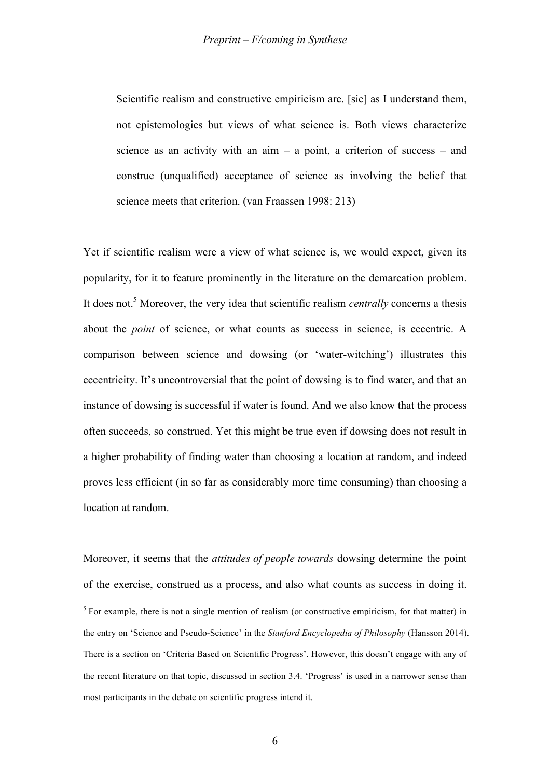Scientific realism and constructive empiricism are. [sic] as I understand them, not epistemologies but views of what science is. Both views characterize science as an activity with an aim  $-$  a point, a criterion of success  $-$  and construe (unqualified) acceptance of science as involving the belief that science meets that criterion. (van Fraassen 1998: 213)

Yet if scientific realism were a view of what science is, we would expect, given its popularity, for it to feature prominently in the literature on the demarcation problem. It does not.<sup>5</sup> Moreover, the very idea that scientific realism *centrally* concerns a thesis about the *point* of science, or what counts as success in science, is eccentric. A comparison between science and dowsing (or 'water-witching') illustrates this eccentricity. It's uncontroversial that the point of dowsing is to find water, and that an instance of dowsing is successful if water is found. And we also know that the process often succeeds, so construed. Yet this might be true even if dowsing does not result in a higher probability of finding water than choosing a location at random, and indeed proves less efficient (in so far as considerably more time consuming) than choosing a location at random.

Moreover, it seems that the *attitudes of people towards* dowsing determine the point of the exercise, construed as a process, and also what counts as success in doing it.

 $5$  For example, there is not a single mention of realism (or constructive empiricism, for that matter) in the entry on 'Science and Pseudo-Science' in the *Stanford Encyclopedia of Philosophy* (Hansson 2014). There is a section on 'Criteria Based on Scientific Progress'. However, this doesn't engage with any of the recent literature on that topic, discussed in section 3.4. 'Progress' is used in a narrower sense than most participants in the debate on scientific progress intend it.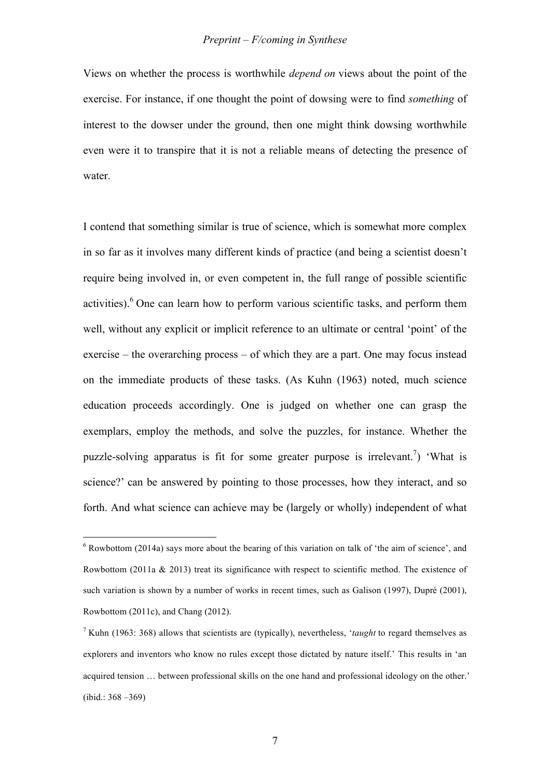Views on whether the process is worthwhile *depend on* views about the point of the exercise. For instance, if one thought the point of dowsing were to find *something* of interest to the dowser under the ground, then one might think dowsing worthwhile even were it to transpire that it is not a reliable means of detecting the presence of water.

I contend that something similar is true of science, which is somewhat more complex in so far as it involves many different kinds of practice (and being a scientist doesn't require being involved in, or even competent in, the full range of possible scientific activities). <sup>6</sup> One can learn how to perform various scientific tasks, and perform them well, without any explicit or implicit reference to an ultimate or central 'point' of the exercise – the overarching process – of which they are a part. One may focus instead on the immediate products of these tasks. (As Kuhn (1963) noted, much science education proceeds accordingly. One is judged on whether one can grasp the exemplars, employ the methods, and solve the puzzles, for instance. Whether the puzzle-solving apparatus is fit for some greater purpose is irrelevant.<sup>7</sup>) 'What is science?' can be answered by pointing to those processes, how they interact, and so forth. And what science can achieve may be (largely or wholly) independent of what

 $6$  Rowbottom (2014a) says more about the bearing of this variation on talk of 'the aim of science', and Rowbottom (2011a & 2013) treat its significance with respect to scientific method. The existence of such variation is shown by a number of works in recent times, such as Galison (1997), Dupré (2001), Rowbottom (2011c), and Chang (2012).

<sup>7</sup> Kuhn (1963: 368) allows that scientists are (typically), nevertheless, '*taught* to regard themselves as explorers and inventors who know no rules except those dictated by nature itself.' This results in 'an acquired tension … between professional skills on the one hand and professional ideology on the other.' (ibid.: 368 –369)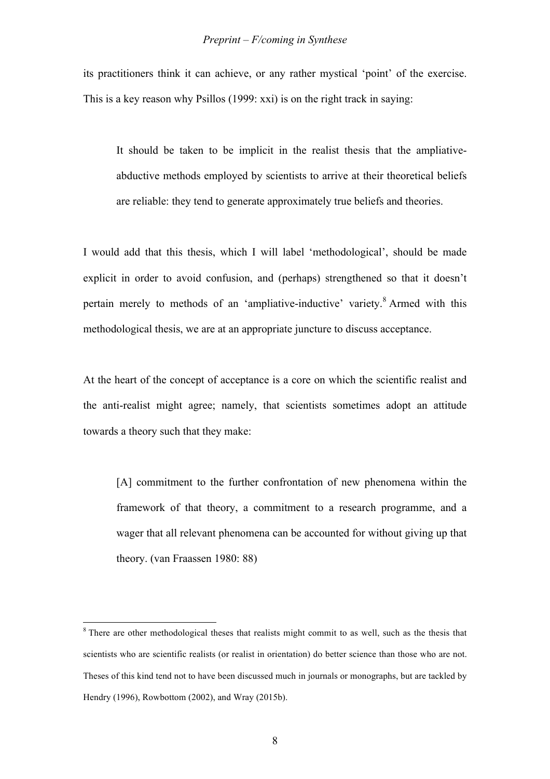its practitioners think it can achieve, or any rather mystical 'point' of the exercise. This is a key reason why Psillos (1999: xxi) is on the right track in saying:

It should be taken to be implicit in the realist thesis that the ampliativeabductive methods employed by scientists to arrive at their theoretical beliefs are reliable: they tend to generate approximately true beliefs and theories.

I would add that this thesis, which I will label 'methodological', should be made explicit in order to avoid confusion, and (perhaps) strengthened so that it doesn't pertain merely to methods of an 'ampliative-inductive' variety.<sup>8</sup> Armed with this methodological thesis, we are at an appropriate juncture to discuss acceptance.

At the heart of the concept of acceptance is a core on which the scientific realist and the anti-realist might agree; namely, that scientists sometimes adopt an attitude towards a theory such that they make:

[A] commitment to the further confrontation of new phenomena within the framework of that theory, a commitment to a research programme, and a wager that all relevant phenomena can be accounted for without giving up that theory. (van Fraassen 1980: 88)

<sup>&</sup>lt;sup>8</sup> There are other methodological theses that realists might commit to as well, such as the thesis that scientists who are scientific realists (or realist in orientation) do better science than those who are not. Theses of this kind tend not to have been discussed much in journals or monographs, but are tackled by Hendry (1996), Rowbottom (2002), and Wray (2015b).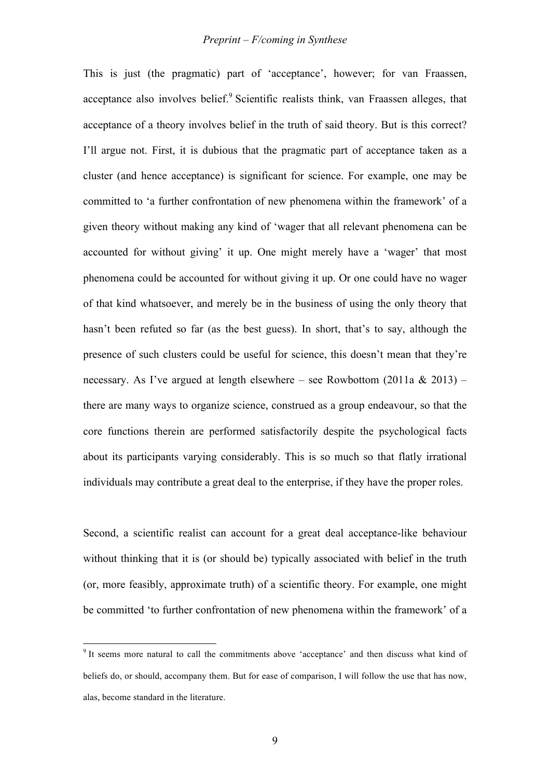This is just (the pragmatic) part of 'acceptance', however; for van Fraassen, acceptance also involves belief.<sup>9</sup> Scientific realists think, van Fraassen alleges, that acceptance of a theory involves belief in the truth of said theory. But is this correct? I'll argue not. First, it is dubious that the pragmatic part of acceptance taken as a cluster (and hence acceptance) is significant for science. For example, one may be committed to 'a further confrontation of new phenomena within the framework' of a given theory without making any kind of 'wager that all relevant phenomena can be accounted for without giving' it up. One might merely have a 'wager' that most phenomena could be accounted for without giving it up. Or one could have no wager of that kind whatsoever, and merely be in the business of using the only theory that hasn't been refuted so far (as the best guess). In short, that's to say, although the presence of such clusters could be useful for science, this doesn't mean that they're necessary. As I've argued at length elsewhere – see Rowbottom (2011a  $& 2013$ ) – there are many ways to organize science, construed as a group endeavour, so that the core functions therein are performed satisfactorily despite the psychological facts about its participants varying considerably. This is so much so that flatly irrational individuals may contribute a great deal to the enterprise, if they have the proper roles.

Second, a scientific realist can account for a great deal acceptance-like behaviour without thinking that it is (or should be) typically associated with belief in the truth (or, more feasibly, approximate truth) of a scientific theory. For example, one might be committed 'to further confrontation of new phenomena within the framework' of a

<sup>&</sup>lt;sup>9</sup> It seems more natural to call the commitments above 'acceptance' and then discuss what kind of beliefs do, or should, accompany them. But for ease of comparison, I will follow the use that has now, alas, become standard in the literature.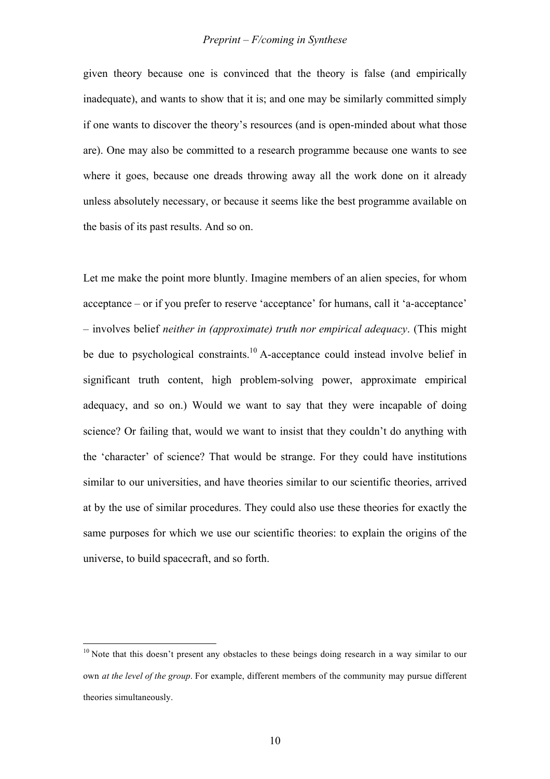given theory because one is convinced that the theory is false (and empirically inadequate), and wants to show that it is; and one may be similarly committed simply if one wants to discover the theory's resources (and is open-minded about what those are). One may also be committed to a research programme because one wants to see where it goes, because one dreads throwing away all the work done on it already unless absolutely necessary, or because it seems like the best programme available on the basis of its past results. And so on.

Let me make the point more bluntly. Imagine members of an alien species, for whom acceptance – or if you prefer to reserve 'acceptance' for humans, call it 'a-acceptance' – involves belief *neither in (approximate) truth nor empirical adequacy*. (This might be due to psychological constraints.<sup>10</sup> A-acceptance could instead involve belief in significant truth content, high problem-solving power, approximate empirical adequacy, and so on.) Would we want to say that they were incapable of doing science? Or failing that, would we want to insist that they couldn't do anything with the 'character' of science? That would be strange. For they could have institutions similar to our universities, and have theories similar to our scientific theories, arrived at by the use of similar procedures. They could also use these theories for exactly the same purposes for which we use our scientific theories: to explain the origins of the universe, to build spacecraft, and so forth.

 $10$  Note that this doesn't present any obstacles to these beings doing research in a way similar to our own *at the level of the group*. For example, different members of the community may pursue different theories simultaneously.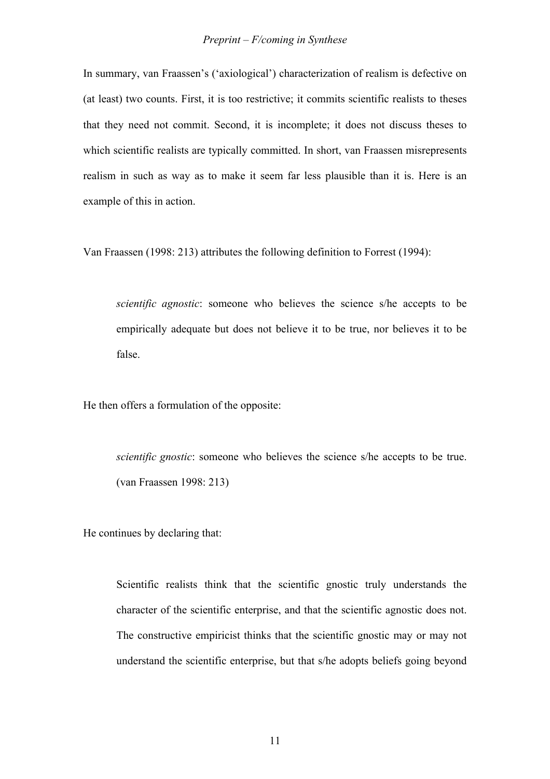In summary, van Fraassen's ('axiological') characterization of realism is defective on (at least) two counts. First, it is too restrictive; it commits scientific realists to theses that they need not commit. Second, it is incomplete; it does not discuss theses to which scientific realists are typically committed. In short, van Fraassen misrepresents realism in such as way as to make it seem far less plausible than it is. Here is an example of this in action.

Van Fraassen (1998: 213) attributes the following definition to Forrest (1994):

*scientific agnostic*: someone who believes the science s/he accepts to be empirically adequate but does not believe it to be true, nor believes it to be false.

He then offers a formulation of the opposite:

*scientific gnostic*: someone who believes the science s/he accepts to be true. (van Fraassen 1998: 213)

He continues by declaring that:

Scientific realists think that the scientific gnostic truly understands the character of the scientific enterprise, and that the scientific agnostic does not. The constructive empiricist thinks that the scientific gnostic may or may not understand the scientific enterprise, but that s/he adopts beliefs going beyond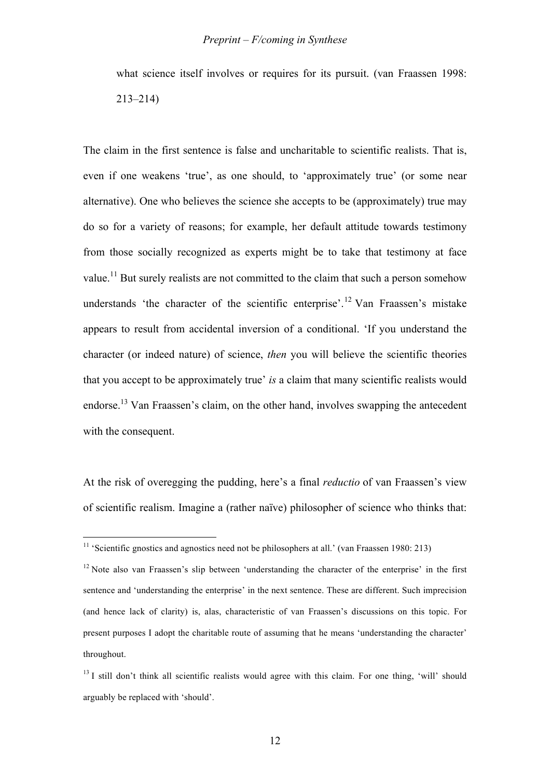what science itself involves or requires for its pursuit. (van Fraassen 1998: 213–214)

The claim in the first sentence is false and uncharitable to scientific realists. That is, even if one weakens 'true', as one should, to 'approximately true' (or some near alternative). One who believes the science she accepts to be (approximately) true may do so for a variety of reasons; for example, her default attitude towards testimony from those socially recognized as experts might be to take that testimony at face value.<sup>11</sup> But surely realists are not committed to the claim that such a person somehow understands 'the character of the scientific enterprise'.<sup>12</sup> Van Fraassen's mistake appears to result from accidental inversion of a conditional. 'If you understand the character (or indeed nature) of science, *then* you will believe the scientific theories that you accept to be approximately true' *is* a claim that many scientific realists would endorse.<sup>13</sup> Van Fraassen's claim, on the other hand, involves swapping the antecedent with the consequent.

At the risk of overegging the pudding, here's a final *reductio* of van Fraassen's view of scientific realism. Imagine a (rather naïve) philosopher of science who thinks that:

<sup>&</sup>lt;sup>11</sup> 'Scientific gnostics and agnostics need not be philosophers at all.' (van Fraassen 1980: 213)

<sup>&</sup>lt;sup>12</sup> Note also van Fraassen's slip between 'understanding the character of the enterprise' in the first sentence and 'understanding the enterprise' in the next sentence. These are different. Such imprecision (and hence lack of clarity) is, alas, characteristic of van Fraassen's discussions on this topic. For present purposes I adopt the charitable route of assuming that he means 'understanding the character' throughout.

 $13$  I still don't think all scientific realists would agree with this claim. For one thing, 'will' should arguably be replaced with 'should'.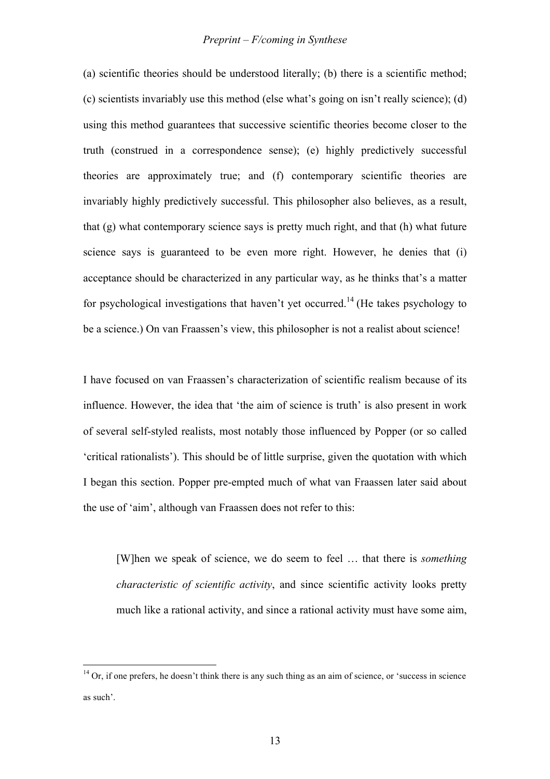(a) scientific theories should be understood literally; (b) there is a scientific method; (c) scientists invariably use this method (else what's going on isn't really science); (d) using this method guarantees that successive scientific theories become closer to the truth (construed in a correspondence sense); (e) highly predictively successful theories are approximately true; and (f) contemporary scientific theories are invariably highly predictively successful. This philosopher also believes, as a result, that (g) what contemporary science says is pretty much right, and that (h) what future science says is guaranteed to be even more right. However, he denies that (i) acceptance should be characterized in any particular way, as he thinks that's a matter for psychological investigations that haven't yet occurred.<sup>14</sup> (He takes psychology to be a science.) On van Fraassen's view, this philosopher is not a realist about science!

I have focused on van Fraassen's characterization of scientific realism because of its influence. However, the idea that 'the aim of science is truth' is also present in work of several self-styled realists, most notably those influenced by Popper (or so called 'critical rationalists'). This should be of little surprise, given the quotation with which I began this section. Popper pre-empted much of what van Fraassen later said about the use of 'aim', although van Fraassen does not refer to this:

[W]hen we speak of science, we do seem to feel … that there is *something characteristic of scientific activity*, and since scientific activity looks pretty much like a rational activity, and since a rational activity must have some aim,

<sup>&</sup>lt;sup>14</sup> Or, if one prefers, he doesn't think there is any such thing as an aim of science, or 'success in science as such'.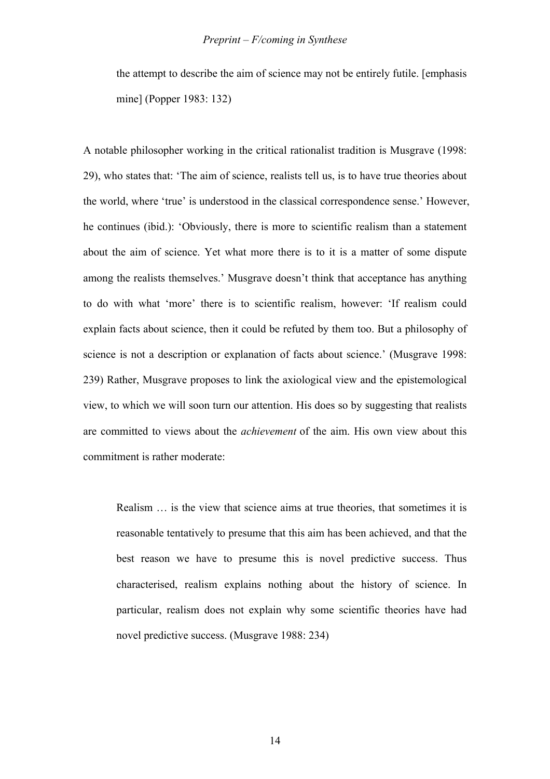the attempt to describe the aim of science may not be entirely futile. [emphasis mine] (Popper 1983: 132)

A notable philosopher working in the critical rationalist tradition is Musgrave (1998: 29), who states that: 'The aim of science, realists tell us, is to have true theories about the world, where 'true' is understood in the classical correspondence sense.' However, he continues (ibid.): 'Obviously, there is more to scientific realism than a statement about the aim of science. Yet what more there is to it is a matter of some dispute among the realists themselves.' Musgrave doesn't think that acceptance has anything to do with what 'more' there is to scientific realism, however: 'If realism could explain facts about science, then it could be refuted by them too. But a philosophy of science is not a description or explanation of facts about science.' (Musgrave 1998: 239) Rather, Musgrave proposes to link the axiological view and the epistemological view, to which we will soon turn our attention. His does so by suggesting that realists are committed to views about the *achievement* of the aim. His own view about this commitment is rather moderate:

Realism … is the view that science aims at true theories, that sometimes it is reasonable tentatively to presume that this aim has been achieved, and that the best reason we have to presume this is novel predictive success. Thus characterised, realism explains nothing about the history of science. In particular, realism does not explain why some scientific theories have had novel predictive success. (Musgrave 1988: 234)

14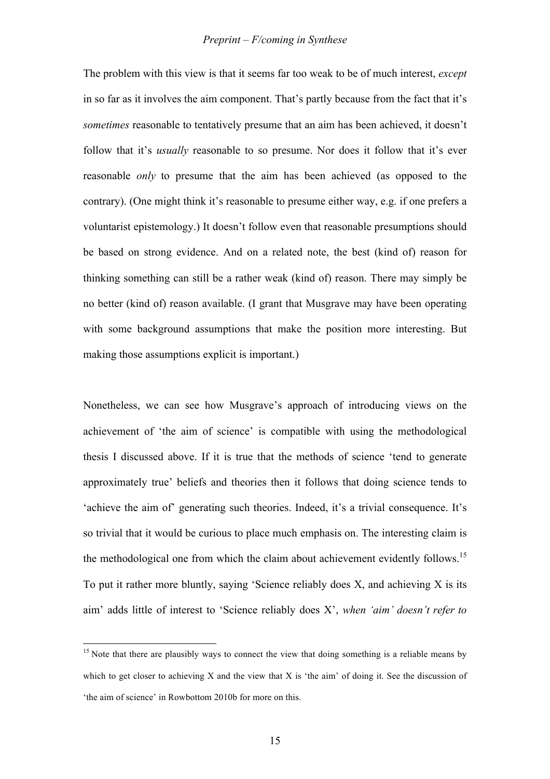The problem with this view is that it seems far too weak to be of much interest, *except* in so far as it involves the aim component. That's partly because from the fact that it's *sometimes* reasonable to tentatively presume that an aim has been achieved, it doesn't follow that it's *usually* reasonable to so presume. Nor does it follow that it's ever reasonable *only* to presume that the aim has been achieved (as opposed to the contrary). (One might think it's reasonable to presume either way, e.g. if one prefers a voluntarist epistemology.) It doesn't follow even that reasonable presumptions should be based on strong evidence. And on a related note, the best (kind of) reason for thinking something can still be a rather weak (kind of) reason. There may simply be no better (kind of) reason available. (I grant that Musgrave may have been operating with some background assumptions that make the position more interesting. But making those assumptions explicit is important.)

Nonetheless, we can see how Musgrave's approach of introducing views on the achievement of 'the aim of science' is compatible with using the methodological thesis I discussed above. If it is true that the methods of science 'tend to generate approximately true' beliefs and theories then it follows that doing science tends to 'achieve the aim of' generating such theories. Indeed, it's a trivial consequence. It's so trivial that it would be curious to place much emphasis on. The interesting claim is the methodological one from which the claim about achievement evidently follows.<sup>15</sup> To put it rather more bluntly, saying 'Science reliably does X, and achieving X is its aim' adds little of interest to 'Science reliably does X', *when 'aim' doesn't refer to* 

 $15$  Note that there are plausibly ways to connect the view that doing something is a reliable means by which to get closer to achieving  $X$  and the view that  $X$  is 'the aim' of doing it. See the discussion of 'the aim of science' in Rowbottom 2010b for more on this.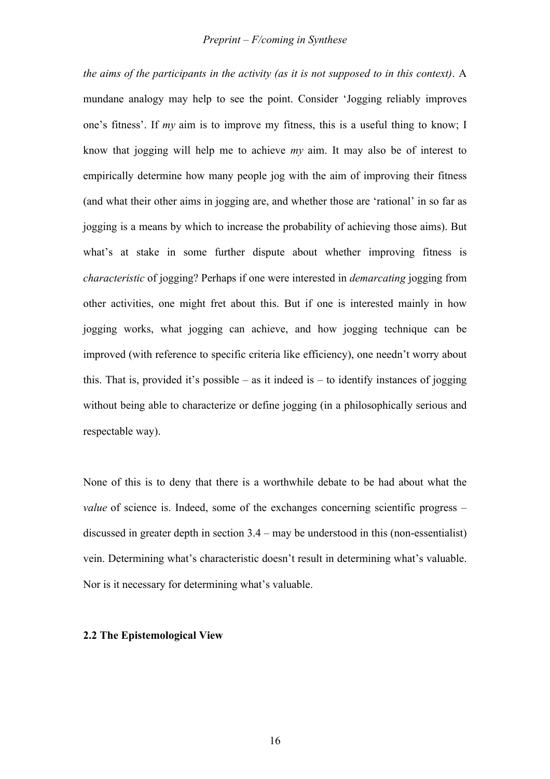*the aims of the participants in the activity (as it is not supposed to in this context)*. A mundane analogy may help to see the point. Consider 'Jogging reliably improves one's fitness'. If *my* aim is to improve my fitness, this is a useful thing to know; I know that jogging will help me to achieve *my* aim. It may also be of interest to empirically determine how many people jog with the aim of improving their fitness (and what their other aims in jogging are, and whether those are 'rational' in so far as jogging is a means by which to increase the probability of achieving those aims). But what's at stake in some further dispute about whether improving fitness is *characteristic* of jogging? Perhaps if one were interested in *demarcating* jogging from other activities, one might fret about this. But if one is interested mainly in how jogging works, what jogging can achieve, and how jogging technique can be improved (with reference to specific criteria like efficiency), one needn't worry about this. That is, provided it's possible – as it indeed is – to identify instances of jogging without being able to characterize or define jogging (in a philosophically serious and respectable way).

None of this is to deny that there is a worthwhile debate to be had about what the *value* of science is. Indeed, some of the exchanges concerning scientific progress – discussed in greater depth in section 3.4 – may be understood in this (non-essentialist) vein. Determining what's characteristic doesn't result in determining what's valuable. Nor is it necessary for determining what's valuable.

# **2.2 The Epistemological View**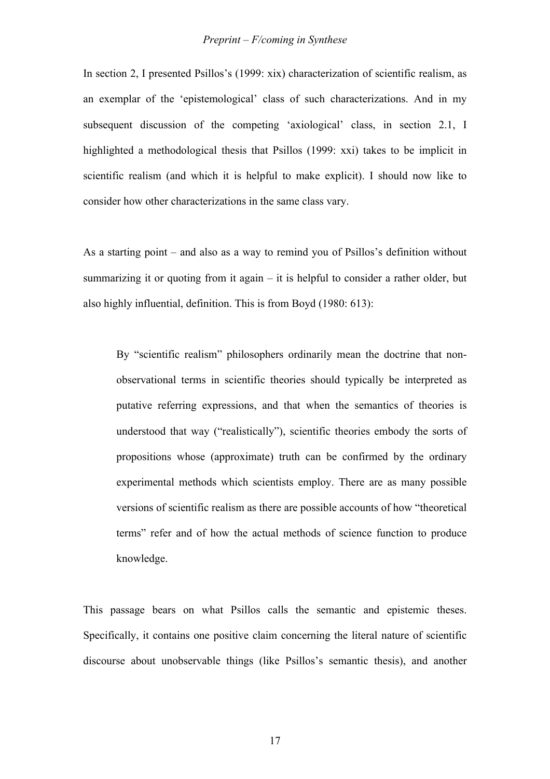In section 2, I presented Psillos's (1999: xix) characterization of scientific realism, as an exemplar of the 'epistemological' class of such characterizations. And in my subsequent discussion of the competing 'axiological' class, in section 2.1, I highlighted a methodological thesis that Psillos (1999: xxi) takes to be implicit in scientific realism (and which it is helpful to make explicit). I should now like to consider how other characterizations in the same class vary.

As a starting point – and also as a way to remind you of Psillos's definition without summarizing it or quoting from it again – it is helpful to consider a rather older, but also highly influential, definition. This is from Boyd (1980: 613):

By "scientific realism" philosophers ordinarily mean the doctrine that nonobservational terms in scientific theories should typically be interpreted as putative referring expressions, and that when the semantics of theories is understood that way ("realistically"), scientific theories embody the sorts of propositions whose (approximate) truth can be confirmed by the ordinary experimental methods which scientists employ. There are as many possible versions of scientific realism as there are possible accounts of how "theoretical terms" refer and of how the actual methods of science function to produce knowledge.

This passage bears on what Psillos calls the semantic and epistemic theses. Specifically, it contains one positive claim concerning the literal nature of scientific discourse about unobservable things (like Psillos's semantic thesis), and another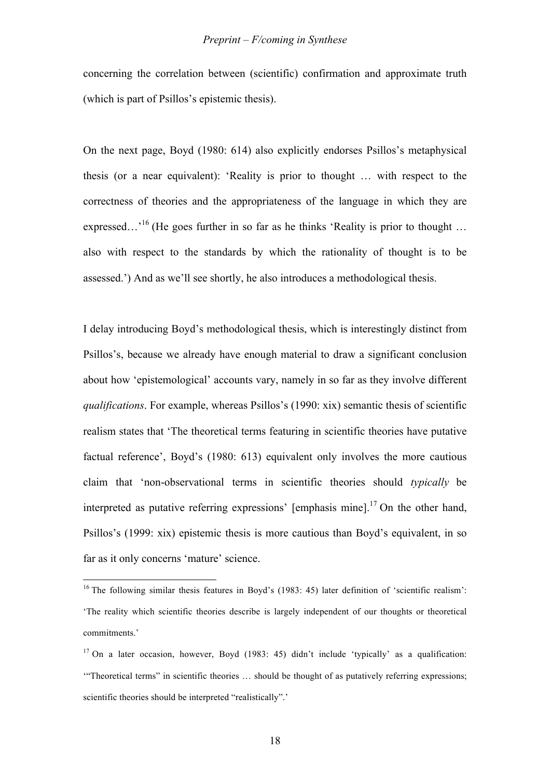concerning the correlation between (scientific) confirmation and approximate truth (which is part of Psillos's epistemic thesis).

On the next page, Boyd (1980: 614) also explicitly endorses Psillos's metaphysical thesis (or a near equivalent): 'Reality is prior to thought … with respect to the correctness of theories and the appropriateness of the language in which they are expressed...<sup>16</sup> (He goes further in so far as he thinks 'Reality is prior to thought ... also with respect to the standards by which the rationality of thought is to be assessed.') And as we'll see shortly, he also introduces a methodological thesis.

I delay introducing Boyd's methodological thesis, which is interestingly distinct from Psillos's, because we already have enough material to draw a significant conclusion about how 'epistemological' accounts vary, namely in so far as they involve different *qualifications*. For example, whereas Psillos's (1990: xix) semantic thesis of scientific realism states that 'The theoretical terms featuring in scientific theories have putative factual reference', Boyd's (1980: 613) equivalent only involves the more cautious claim that 'non-observational terms in scientific theories should *typically* be interpreted as putative referring expressions' [emphasis mine].<sup>17</sup> On the other hand, Psillos's (1999: xix) epistemic thesis is more cautious than Boyd's equivalent, in so far as it only concerns 'mature' science.

<sup>&</sup>lt;sup>16</sup> The following similar thesis features in Boyd's (1983: 45) later definition of 'scientific realism': 'The reality which scientific theories describe is largely independent of our thoughts or theoretical commitments.'

<sup>&</sup>lt;sup>17</sup> On a later occasion, however, Boyd (1983: 45) didn't include 'typically' as a qualification: '"Theoretical terms" in scientific theories … should be thought of as putatively referring expressions; scientific theories should be interpreted "realistically".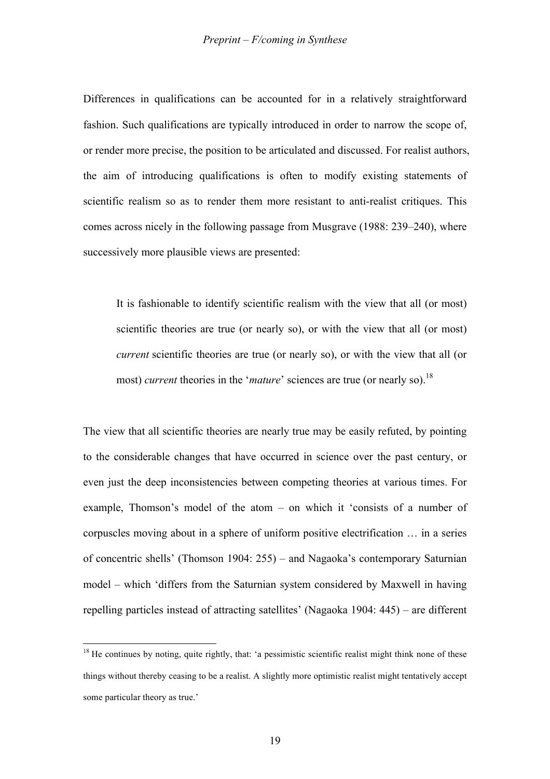Differences in qualifications can be accounted for in a relatively straightforward fashion. Such qualifications are typically introduced in order to narrow the scope of, or render more precise, the position to be articulated and discussed. For realist authors, the aim of introducing qualifications is often to modify existing statements of scientific realism so as to render them more resistant to anti-realist critiques. This comes across nicely in the following passage from Musgrave (1988: 239–240), where successively more plausible views are presented:

It is fashionable to identify scientific realism with the view that all (or most) scientific theories are true (or nearly so), or with the view that all (or most) *current* scientific theories are true (or nearly so), or with the view that all (or most) *current* theories in the '*mature*' sciences are true (or nearly so).<sup>18</sup>

The view that all scientific theories are nearly true may be easily refuted, by pointing to the considerable changes that have occurred in science over the past century, or even just the deep inconsistencies between competing theories at various times. For example, Thomson's model of the atom – on which it 'consists of a number of corpuscles moving about in a sphere of uniform positive electrification … in a series of concentric shells' (Thomson 1904: 255) – and Nagaoka's contemporary Saturnian model – which 'differs from the Saturnian system considered by Maxwell in having repelling particles instead of attracting satellites' (Nagaoka 1904: 445) – are different

 $18$  He continues by noting, quite rightly, that: 'a pessimistic scientific realist might think none of these things without thereby ceasing to be a realist. A slightly more optimistic realist might tentatively accept some particular theory as true.'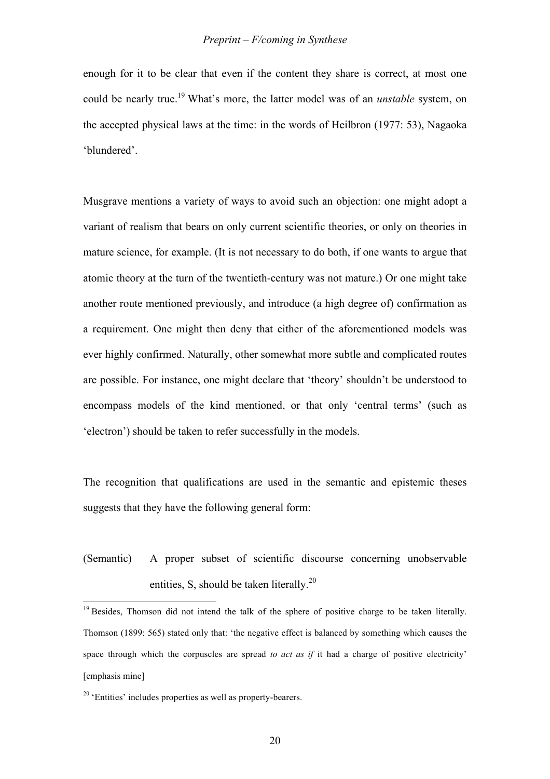enough for it to be clear that even if the content they share is correct, at most one could be nearly true.19 What's more, the latter model was of an *unstable* system, on the accepted physical laws at the time: in the words of Heilbron (1977: 53), Nagaoka 'blundered'.

Musgrave mentions a variety of ways to avoid such an objection: one might adopt a variant of realism that bears on only current scientific theories, or only on theories in mature science, for example. (It is not necessary to do both, if one wants to argue that atomic theory at the turn of the twentieth-century was not mature.) Or one might take another route mentioned previously, and introduce (a high degree of) confirmation as a requirement. One might then deny that either of the aforementioned models was ever highly confirmed. Naturally, other somewhat more subtle and complicated routes are possible. For instance, one might declare that 'theory' shouldn't be understood to encompass models of the kind mentioned, or that only 'central terms' (such as 'electron') should be taken to refer successfully in the models.

The recognition that qualifications are used in the semantic and epistemic theses suggests that they have the following general form:

# (Semantic) A proper subset of scientific discourse concerning unobservable entities, S, should be taken literally.<sup>20</sup>

 $19$  Besides, Thomson did not intend the talk of the sphere of positive charge to be taken literally. Thomson (1899: 565) stated only that: 'the negative effect is balanced by something which causes the space through which the corpuscles are spread *to act as if* it had a charge of positive electricity' [emphasis mine]

 $20$  'Entities' includes properties as well as property-bearers.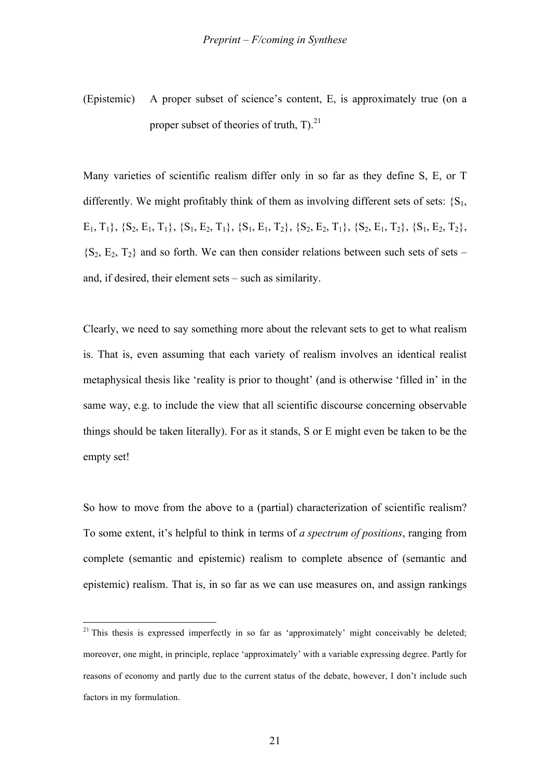(Epistemic) A proper subset of science's content, E, is approximately true (on a proper subset of theories of truth,  $T$ ).<sup>21</sup>

Many varieties of scientific realism differ only in so far as they define S, E, or T differently. We might profitably think of them as involving different sets of sets:  ${S_1}$ , E<sub>1</sub>, T<sub>1</sub>}, {S<sub>2</sub>, E<sub>1</sub>, T<sub>1</sub>}, {S<sub>1</sub>, E<sub>2</sub>, T<sub>1</sub>}, {S<sub>1</sub>, E<sub>1</sub>, T<sub>2</sub>}, {S<sub>2</sub>, E<sub>2</sub>, T<sub>1</sub>}, {S<sub>2</sub>, E<sub>1</sub>, T<sub>2</sub>}, {S<sub>1</sub>, E<sub>2</sub>, T<sub>2</sub>},  ${S_2, E_2, T_2}$  and so forth. We can then consider relations between such sets of sets – and, if desired, their element sets – such as similarity.

Clearly, we need to say something more about the relevant sets to get to what realism is. That is, even assuming that each variety of realism involves an identical realist metaphysical thesis like 'reality is prior to thought' (and is otherwise 'filled in' in the same way, e.g. to include the view that all scientific discourse concerning observable things should be taken literally). For as it stands, S or E might even be taken to be the empty set!

So how to move from the above to a (partial) characterization of scientific realism? To some extent, it's helpful to think in terms of *a spectrum of positions*, ranging from complete (semantic and epistemic) realism to complete absence of (semantic and epistemic) realism. That is, in so far as we can use measures on, and assign rankings

 $21$  This thesis is expressed imperfectly in so far as 'approximately' might conceivably be deleted; moreover, one might, in principle, replace 'approximately' with a variable expressing degree. Partly for reasons of economy and partly due to the current status of the debate, however, I don't include such factors in my formulation.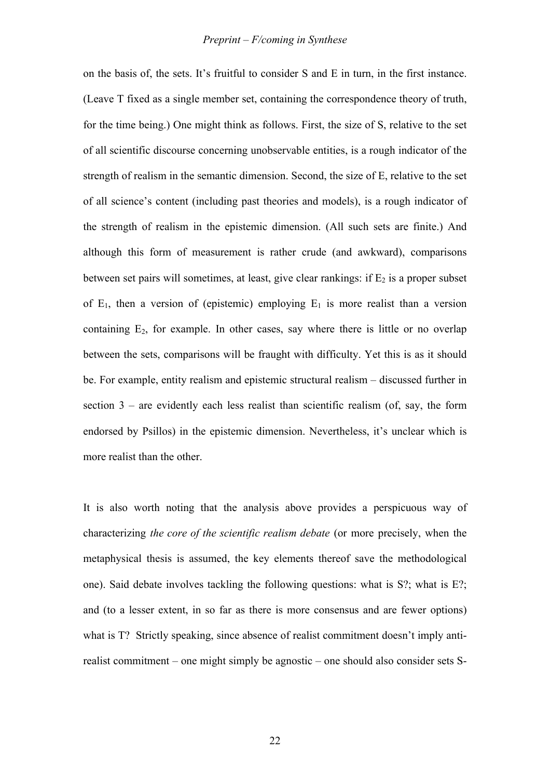on the basis of, the sets. It's fruitful to consider S and E in turn, in the first instance. (Leave T fixed as a single member set, containing the correspondence theory of truth, for the time being.) One might think as follows. First, the size of S, relative to the set of all scientific discourse concerning unobservable entities, is a rough indicator of the strength of realism in the semantic dimension. Second, the size of E, relative to the set of all science's content (including past theories and models), is a rough indicator of the strength of realism in the epistemic dimension. (All such sets are finite.) And although this form of measurement is rather crude (and awkward), comparisons between set pairs will sometimes, at least, give clear rankings: if  $E_2$  is a proper subset of  $E_1$ , then a version of (epistemic) employing  $E_1$  is more realist than a version containing  $E_2$ , for example. In other cases, say where there is little or no overlap between the sets, comparisons will be fraught with difficulty. Yet this is as it should be. For example, entity realism and epistemic structural realism – discussed further in section  $3$  – are evidently each less realist than scientific realism (of, say, the form endorsed by Psillos) in the epistemic dimension. Nevertheless, it's unclear which is more realist than the other.

It is also worth noting that the analysis above provides a perspicuous way of characterizing *the core of the scientific realism debate* (or more precisely, when the metaphysical thesis is assumed, the key elements thereof save the methodological one). Said debate involves tackling the following questions: what is S?; what is E?; and (to a lesser extent, in so far as there is more consensus and are fewer options) what is T? Strictly speaking, since absence of realist commitment doesn't imply antirealist commitment – one might simply be agnostic – one should also consider sets S-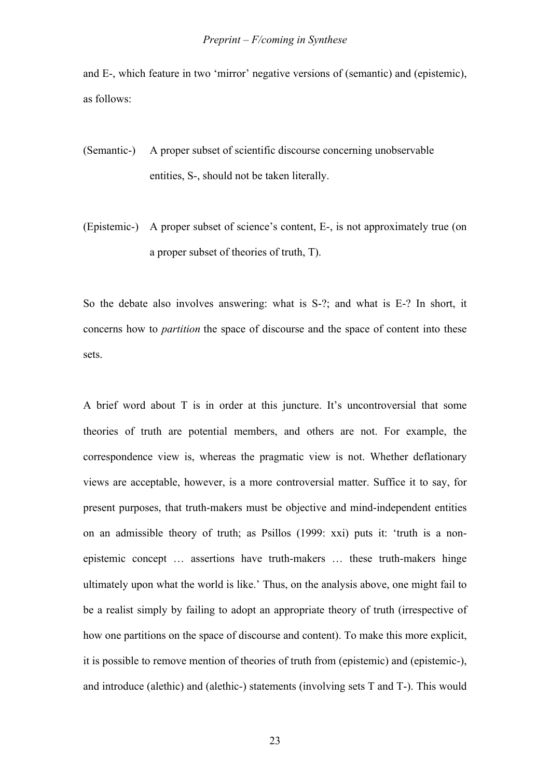and E-, which feature in two 'mirror' negative versions of (semantic) and (epistemic), as follows:

- (Semantic-) A proper subset of scientific discourse concerning unobservable entities, S-, should not be taken literally.
- (Epistemic-) A proper subset of science's content, E-, is not approximately true (on a proper subset of theories of truth, T).

So the debate also involves answering: what is S-?; and what is E-? In short, it concerns how to *partition* the space of discourse and the space of content into these sets.

A brief word about T is in order at this juncture. It's uncontroversial that some theories of truth are potential members, and others are not. For example, the correspondence view is, whereas the pragmatic view is not. Whether deflationary views are acceptable, however, is a more controversial matter. Suffice it to say, for present purposes, that truth-makers must be objective and mind-independent entities on an admissible theory of truth; as Psillos (1999: xxi) puts it: 'truth is a nonepistemic concept … assertions have truth-makers … these truth-makers hinge ultimately upon what the world is like.' Thus, on the analysis above, one might fail to be a realist simply by failing to adopt an appropriate theory of truth (irrespective of how one partitions on the space of discourse and content). To make this more explicit, it is possible to remove mention of theories of truth from (epistemic) and (epistemic-), and introduce (alethic) and (alethic-) statements (involving sets T and T-). This would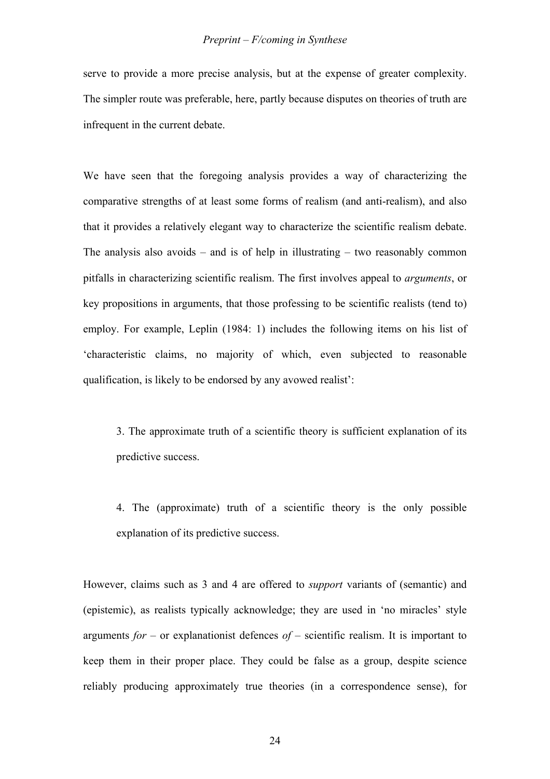serve to provide a more precise analysis, but at the expense of greater complexity. The simpler route was preferable, here, partly because disputes on theories of truth are infrequent in the current debate.

We have seen that the foregoing analysis provides a way of characterizing the comparative strengths of at least some forms of realism (and anti-realism), and also that it provides a relatively elegant way to characterize the scientific realism debate. The analysis also avoids – and is of help in illustrating – two reasonably common pitfalls in characterizing scientific realism. The first involves appeal to *arguments*, or key propositions in arguments, that those professing to be scientific realists (tend to) employ. For example, Leplin (1984: 1) includes the following items on his list of 'characteristic claims, no majority of which, even subjected to reasonable qualification, is likely to be endorsed by any avowed realist':

3. The approximate truth of a scientific theory is sufficient explanation of its predictive success.

4. The (approximate) truth of a scientific theory is the only possible explanation of its predictive success.

However, claims such as 3 and 4 are offered to *support* variants of (semantic) and (epistemic), as realists typically acknowledge; they are used in 'no miracles' style arguments *for* – or explanationist defences *of* – scientific realism. It is important to keep them in their proper place. They could be false as a group, despite science reliably producing approximately true theories (in a correspondence sense), for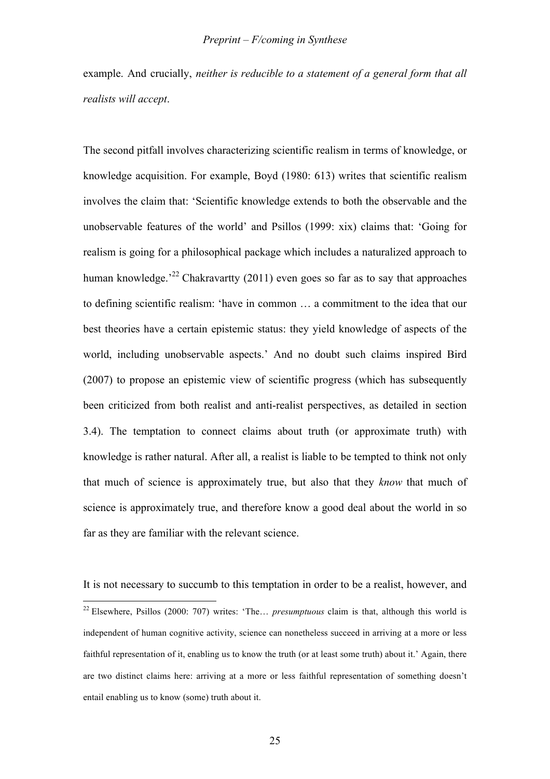example. And crucially, *neither is reducible to a statement of a general form that all realists will accept*.

The second pitfall involves characterizing scientific realism in terms of knowledge, or knowledge acquisition. For example, Boyd (1980: 613) writes that scientific realism involves the claim that: 'Scientific knowledge extends to both the observable and the unobservable features of the world' and Psillos (1999: xix) claims that: 'Going for realism is going for a philosophical package which includes a naturalized approach to human knowledge.<sup>22</sup> Chakravartty (2011) even goes so far as to say that approaches to defining scientific realism: 'have in common … a commitment to the idea that our best theories have a certain epistemic status: they yield knowledge of aspects of the world, including unobservable aspects.' And no doubt such claims inspired Bird (2007) to propose an epistemic view of scientific progress (which has subsequently been criticized from both realist and anti-realist perspectives, as detailed in section 3.4). The temptation to connect claims about truth (or approximate truth) with knowledge is rather natural. After all, a realist is liable to be tempted to think not only that much of science is approximately true, but also that they *know* that much of science is approximately true, and therefore know a good deal about the world in so far as they are familiar with the relevant science.

It is not necessary to succumb to this temptation in order to be a realist, however, and 22 Elsewhere, Psillos (2000: 707) writes: 'The… *presumptuous* claim is that, although this world is independent of human cognitive activity, science can nonetheless succeed in arriving at a more or less faithful representation of it, enabling us to know the truth (or at least some truth) about it.' Again, there are two distinct claims here: arriving at a more or less faithful representation of something doesn't entail enabling us to know (some) truth about it.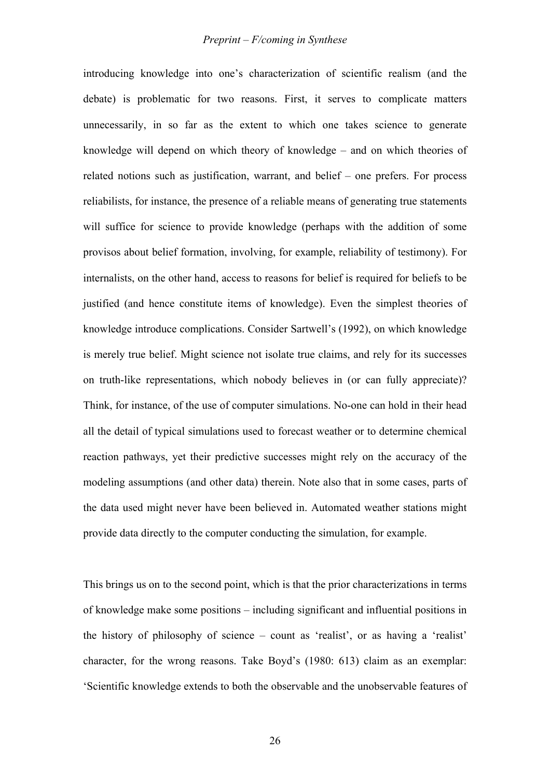introducing knowledge into one's characterization of scientific realism (and the debate) is problematic for two reasons. First, it serves to complicate matters unnecessarily, in so far as the extent to which one takes science to generate knowledge will depend on which theory of knowledge – and on which theories of related notions such as justification, warrant, and belief – one prefers. For process reliabilists, for instance, the presence of a reliable means of generating true statements will suffice for science to provide knowledge (perhaps with the addition of some provisos about belief formation, involving, for example, reliability of testimony). For internalists, on the other hand, access to reasons for belief is required for beliefs to be justified (and hence constitute items of knowledge). Even the simplest theories of knowledge introduce complications. Consider Sartwell's (1992), on which knowledge is merely true belief. Might science not isolate true claims, and rely for its successes on truth-like representations, which nobody believes in (or can fully appreciate)? Think, for instance, of the use of computer simulations. No-one can hold in their head all the detail of typical simulations used to forecast weather or to determine chemical reaction pathways, yet their predictive successes might rely on the accuracy of the modeling assumptions (and other data) therein. Note also that in some cases, parts of the data used might never have been believed in. Automated weather stations might provide data directly to the computer conducting the simulation, for example.

This brings us on to the second point, which is that the prior characterizations in terms of knowledge make some positions – including significant and influential positions in the history of philosophy of science – count as 'realist', or as having a 'realist' character, for the wrong reasons. Take Boyd's (1980: 613) claim as an exemplar: 'Scientific knowledge extends to both the observable and the unobservable features of

26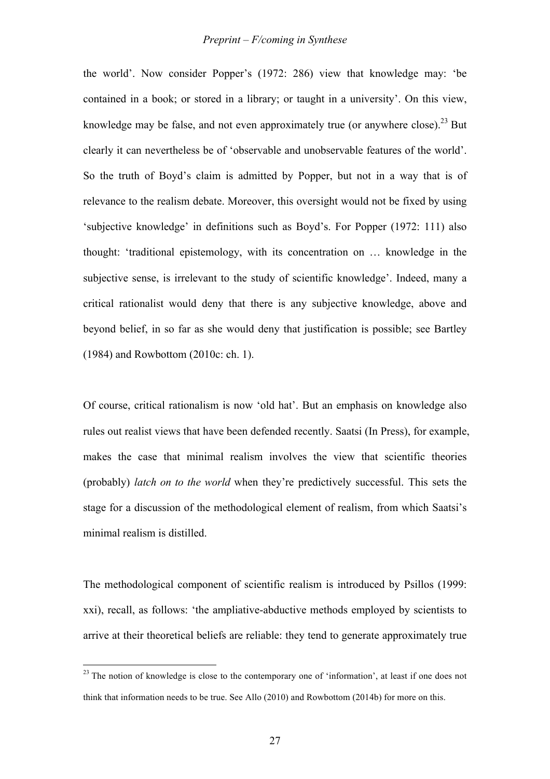the world'. Now consider Popper's (1972: 286) view that knowledge may: 'be contained in a book; or stored in a library; or taught in a university'. On this view, knowledge may be false, and not even approximately true (or anywhere close).<sup>23</sup> But clearly it can nevertheless be of 'observable and unobservable features of the world'. So the truth of Boyd's claim is admitted by Popper, but not in a way that is of relevance to the realism debate. Moreover, this oversight would not be fixed by using 'subjective knowledge' in definitions such as Boyd's. For Popper (1972: 111) also thought: 'traditional epistemology, with its concentration on … knowledge in the subjective sense, is irrelevant to the study of scientific knowledge'. Indeed, many a critical rationalist would deny that there is any subjective knowledge, above and beyond belief, in so far as she would deny that justification is possible; see Bartley (1984) and Rowbottom (2010c: ch. 1).

Of course, critical rationalism is now 'old hat'. But an emphasis on knowledge also rules out realist views that have been defended recently. Saatsi (In Press), for example, makes the case that minimal realism involves the view that scientific theories (probably) *latch on to the world* when they're predictively successful. This sets the stage for a discussion of the methodological element of realism, from which Saatsi's minimal realism is distilled.

The methodological component of scientific realism is introduced by Psillos (1999: xxi), recall, as follows: 'the ampliative-abductive methods employed by scientists to arrive at their theoretical beliefs are reliable: they tend to generate approximately true

<sup>&</sup>lt;sup>23</sup> The notion of knowledge is close to the contemporary one of 'information', at least if one does not think that information needs to be true. See Allo (2010) and Rowbottom (2014b) for more on this.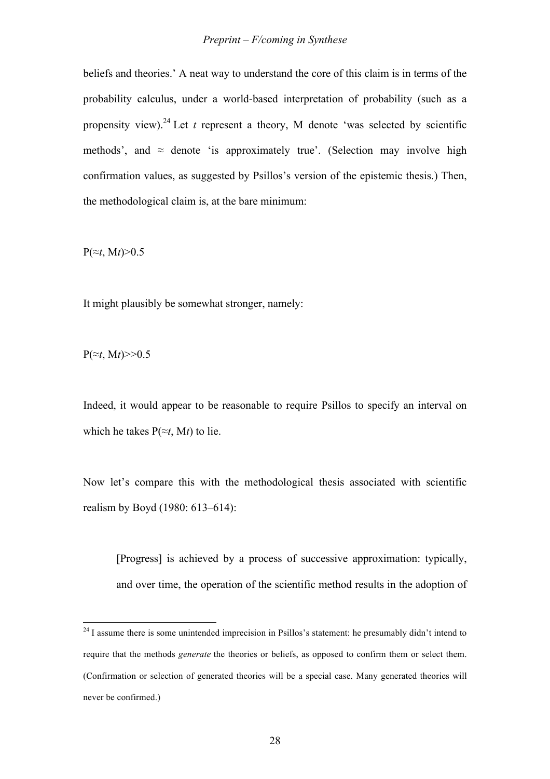beliefs and theories.' A neat way to understand the core of this claim is in terms of the probability calculus, under a world-based interpretation of probability (such as a propensity view).<sup>24</sup> Let  $t$  represent a theory, M denote 'was selected by scientific methods', and  $\approx$  denote 'is approximately true'. (Selection may involve high confirmation values, as suggested by Psillos's version of the epistemic thesis.) Then, the methodological claim is, at the bare minimum:

 $P(\approx t, Mt) > 0.5$ 

It might plausibly be somewhat stronger, namely:

 $P(\approx t, Mt) \geq 0.5$ 

Indeed, it would appear to be reasonable to require Psillos to specify an interval on which he takes  $P(\approx t, Mt)$  to lie.

Now let's compare this with the methodological thesis associated with scientific realism by Boyd (1980: 613–614):

[Progress] is achieved by a process of successive approximation: typically, and over time, the operation of the scientific method results in the adoption of

<sup>&</sup>lt;sup>24</sup> I assume there is some unintended imprecision in Psillos's statement: he presumably didn't intend to require that the methods *generate* the theories or beliefs, as opposed to confirm them or select them. (Confirmation or selection of generated theories will be a special case. Many generated theories will never be confirmed.)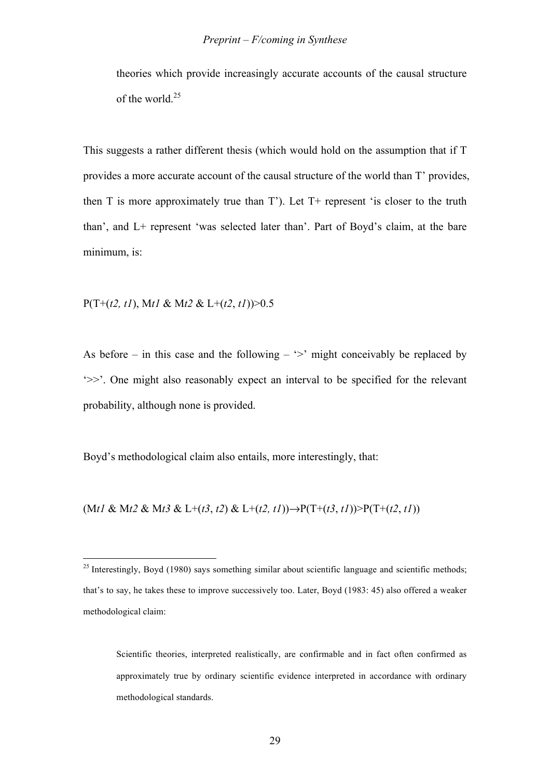theories which provide increasingly accurate accounts of the causal structure of the world.<sup>25</sup>

This suggests a rather different thesis (which would hold on the assumption that if T provides a more accurate account of the causal structure of the world than T' provides, then  $T$  is more approximately true than  $T'$ ). Let  $T^+$  represent 'is closer to the truth than', and L+ represent 'was selected later than'. Part of Boyd's claim, at the bare minimum, is:

P(T+(*t2, t1*), M*t1* & M*t2* & L+(*t2*, *t1*))>0.5

As before – in this case and the following –  $\leq$  might conceivably be replaced by '>>'. One might also reasonably expect an interval to be specified for the relevant probability, although none is provided.

Boyd's methodological claim also entails, more interestingly, that:

(M*t1* & M*t2* & M*t3* & L+(*t3*, *t2*) & L+(*t2, t1*))→P(T+(*t3*, *t1*))>P(T+(*t2*, *t1*))

Scientific theories, interpreted realistically, are confirmable and in fact often confirmed as approximately true by ordinary scientific evidence interpreted in accordance with ordinary methodological standards.

 $25$  Interestingly, Boyd (1980) says something similar about scientific language and scientific methods; that's to say, he takes these to improve successively too. Later, Boyd (1983: 45) also offered a weaker methodological claim: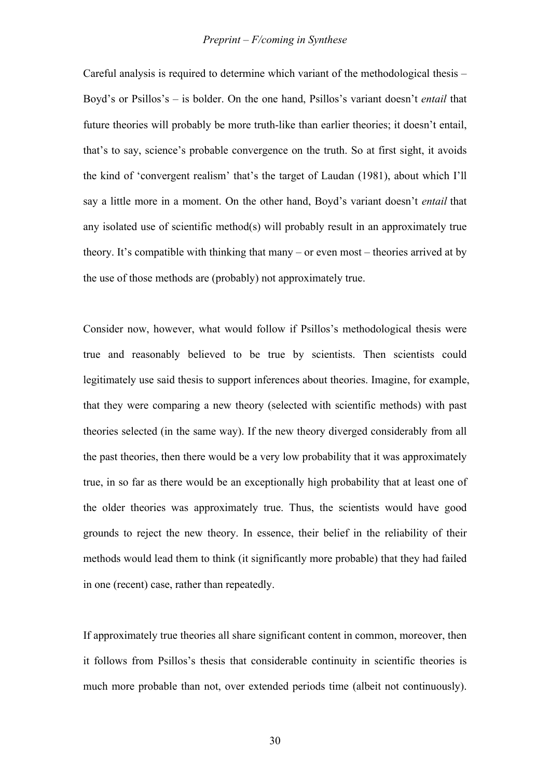Careful analysis is required to determine which variant of the methodological thesis – Boyd's or Psillos's – is bolder. On the one hand, Psillos's variant doesn't *entail* that future theories will probably be more truth-like than earlier theories; it doesn't entail, that's to say, science's probable convergence on the truth. So at first sight, it avoids the kind of 'convergent realism' that's the target of Laudan (1981), about which I'll say a little more in a moment. On the other hand, Boyd's variant doesn't *entail* that any isolated use of scientific method(s) will probably result in an approximately true theory. It's compatible with thinking that many – or even most – theories arrived at by the use of those methods are (probably) not approximately true.

Consider now, however, what would follow if Psillos's methodological thesis were true and reasonably believed to be true by scientists. Then scientists could legitimately use said thesis to support inferences about theories. Imagine, for example, that they were comparing a new theory (selected with scientific methods) with past theories selected (in the same way). If the new theory diverged considerably from all the past theories, then there would be a very low probability that it was approximately true, in so far as there would be an exceptionally high probability that at least one of the older theories was approximately true. Thus, the scientists would have good grounds to reject the new theory. In essence, their belief in the reliability of their methods would lead them to think (it significantly more probable) that they had failed in one (recent) case, rather than repeatedly.

If approximately true theories all share significant content in common, moreover, then it follows from Psillos's thesis that considerable continuity in scientific theories is much more probable than not, over extended periods time (albeit not continuously).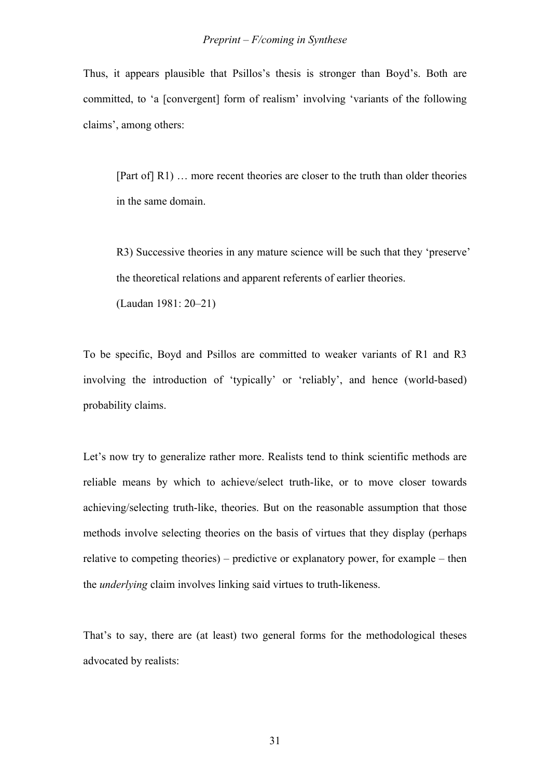Thus, it appears plausible that Psillos's thesis is stronger than Boyd's. Both are committed, to 'a [convergent] form of realism' involving 'variants of the following claims', among others:

[Part of] R1) … more recent theories are closer to the truth than older theories in the same domain.

R3) Successive theories in any mature science will be such that they 'preserve' the theoretical relations and apparent referents of earlier theories. (Laudan 1981: 20–21)

To be specific, Boyd and Psillos are committed to weaker variants of R1 and R3 involving the introduction of 'typically' or 'reliably', and hence (world-based) probability claims.

Let's now try to generalize rather more. Realists tend to think scientific methods are reliable means by which to achieve/select truth-like, or to move closer towards achieving/selecting truth-like, theories. But on the reasonable assumption that those methods involve selecting theories on the basis of virtues that they display (perhaps relative to competing theories) – predictive or explanatory power, for example – then the *underlying* claim involves linking said virtues to truth-likeness.

That's to say, there are (at least) two general forms for the methodological theses advocated by realists: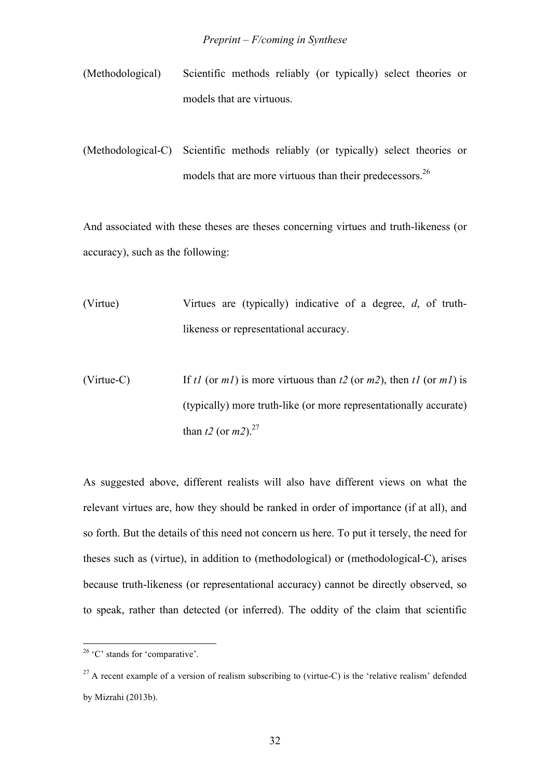- (Methodological) Scientific methods reliably (or typically) select theories or models that are virtuous.
- (Methodological-C) Scientific methods reliably (or typically) select theories or models that are more virtuous than their predecessors.<sup>26</sup>

And associated with these theses are theses concerning virtues and truth-likeness (or accuracy), such as the following:

- (Virtue) Virtues are (typically) indicative of a degree, *d*, of truthlikeness or representational accuracy.
- (Virtue-C) If  $tI$  (or  $mI$ ) is more virtuous than  $t2$  (or  $m2$ ), then  $tI$  (or  $mI$ ) is (typically) more truth-like (or more representationally accurate) than  $t^2$  (or  $m^2$ ).<sup>27</sup>

As suggested above, different realists will also have different views on what the relevant virtues are, how they should be ranked in order of importance (if at all), and so forth. But the details of this need not concern us here. To put it tersely, the need for theses such as (virtue), in addition to (methodological) or (methodological-C), arises because truth-likeness (or representational accuracy) cannot be directly observed, so to speak, rather than detected (or inferred). The oddity of the claim that scientific

 $26$  'C' stands for 'comparative'.

 $27$  A recent example of a version of realism subscribing to (virtue-C) is the 'relative realism' defended by Mizrahi (2013b).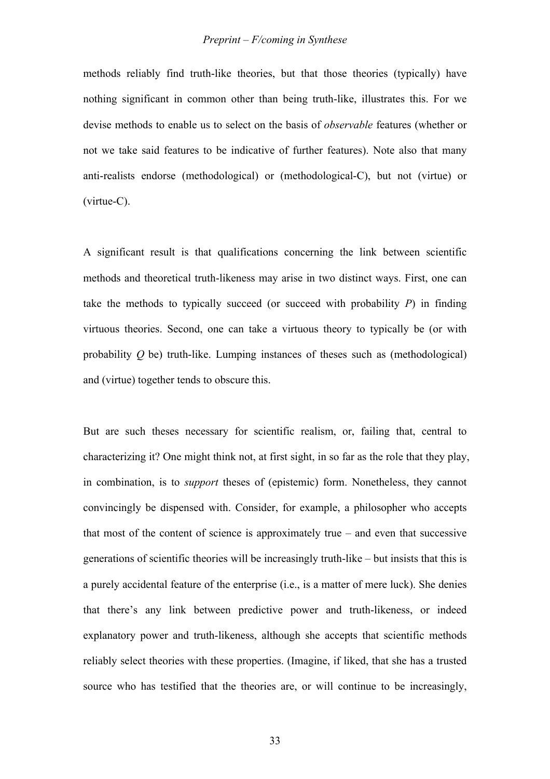methods reliably find truth-like theories, but that those theories (typically) have nothing significant in common other than being truth-like, illustrates this. For we devise methods to enable us to select on the basis of *observable* features (whether or not we take said features to be indicative of further features). Note also that many anti-realists endorse (methodological) or (methodological-C), but not (virtue) or (virtue-C).

A significant result is that qualifications concerning the link between scientific methods and theoretical truth-likeness may arise in two distinct ways. First, one can take the methods to typically succeed (or succeed with probability *P*) in finding virtuous theories. Second, one can take a virtuous theory to typically be (or with probability *Q* be) truth-like. Lumping instances of theses such as (methodological) and (virtue) together tends to obscure this.

But are such theses necessary for scientific realism, or, failing that, central to characterizing it? One might think not, at first sight, in so far as the role that they play, in combination, is to *support* theses of (epistemic) form. Nonetheless, they cannot convincingly be dispensed with. Consider, for example, a philosopher who accepts that most of the content of science is approximately true – and even that successive generations of scientific theories will be increasingly truth-like – but insists that this is a purely accidental feature of the enterprise (i.e., is a matter of mere luck). She denies that there's any link between predictive power and truth-likeness, or indeed explanatory power and truth-likeness, although she accepts that scientific methods reliably select theories with these properties. (Imagine, if liked, that she has a trusted source who has testified that the theories are, or will continue to be increasingly,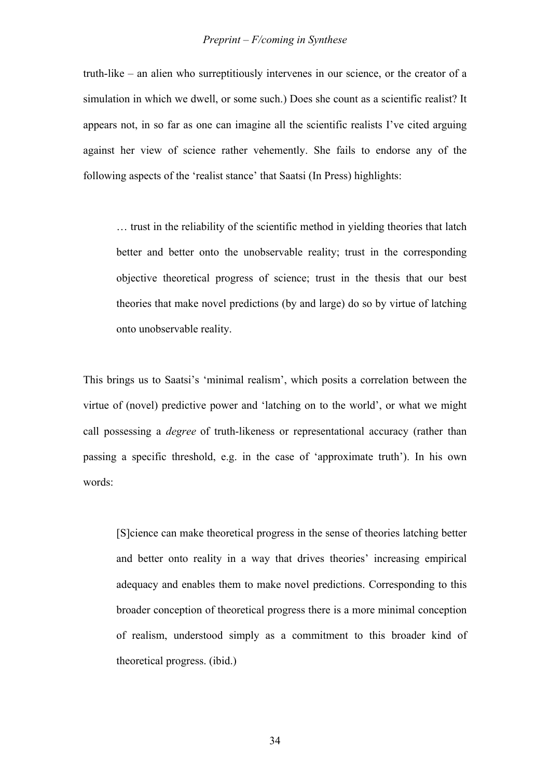truth-like – an alien who surreptitiously intervenes in our science, or the creator of a simulation in which we dwell, or some such.) Does she count as a scientific realist? It appears not, in so far as one can imagine all the scientific realists I've cited arguing against her view of science rather vehemently. She fails to endorse any of the following aspects of the 'realist stance' that Saatsi (In Press) highlights:

… trust in the reliability of the scientific method in yielding theories that latch better and better onto the unobservable reality; trust in the corresponding objective theoretical progress of science; trust in the thesis that our best theories that make novel predictions (by and large) do so by virtue of latching onto unobservable reality.

This brings us to Saatsi's 'minimal realism', which posits a correlation between the virtue of (novel) predictive power and 'latching on to the world', or what we might call possessing a *degree* of truth-likeness or representational accuracy (rather than passing a specific threshold, e.g. in the case of 'approximate truth'). In his own words:

[S]cience can make theoretical progress in the sense of theories latching better and better onto reality in a way that drives theories' increasing empirical adequacy and enables them to make novel predictions. Corresponding to this broader conception of theoretical progress there is a more minimal conception of realism, understood simply as a commitment to this broader kind of theoretical progress. (ibid.)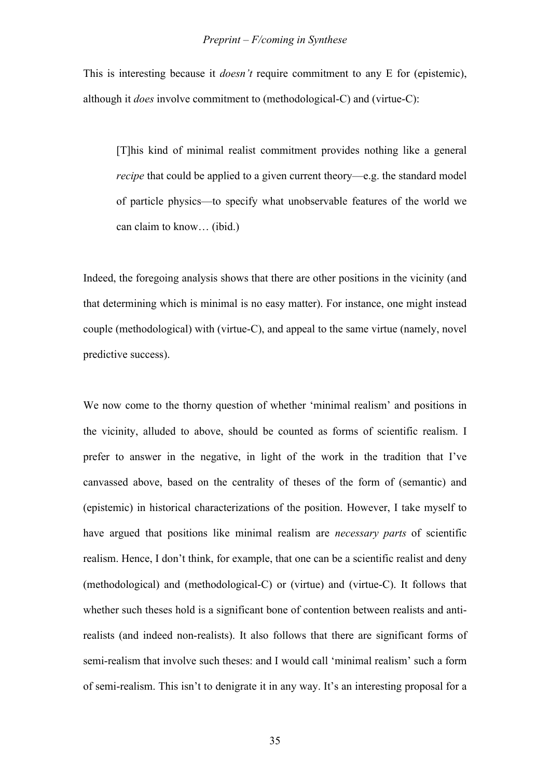This is interesting because it *doesn't* require commitment to any E for (epistemic), although it *does* involve commitment to (methodological-C) and (virtue-C):

[T]his kind of minimal realist commitment provides nothing like a general *recipe* that could be applied to a given current theory—e.g. the standard model of particle physics—to specify what unobservable features of the world we can claim to know… (ibid.)

Indeed, the foregoing analysis shows that there are other positions in the vicinity (and that determining which is minimal is no easy matter). For instance, one might instead couple (methodological) with (virtue-C), and appeal to the same virtue (namely, novel predictive success).

We now come to the thorny question of whether 'minimal realism' and positions in the vicinity, alluded to above, should be counted as forms of scientific realism. I prefer to answer in the negative, in light of the work in the tradition that I've canvassed above, based on the centrality of theses of the form of (semantic) and (epistemic) in historical characterizations of the position. However, I take myself to have argued that positions like minimal realism are *necessary parts* of scientific realism. Hence, I don't think, for example, that one can be a scientific realist and deny (methodological) and (methodological-C) or (virtue) and (virtue-C). It follows that whether such theses hold is a significant bone of contention between realists and antirealists (and indeed non-realists). It also follows that there are significant forms of semi-realism that involve such theses: and I would call 'minimal realism' such a form of semi-realism. This isn't to denigrate it in any way. It's an interesting proposal for a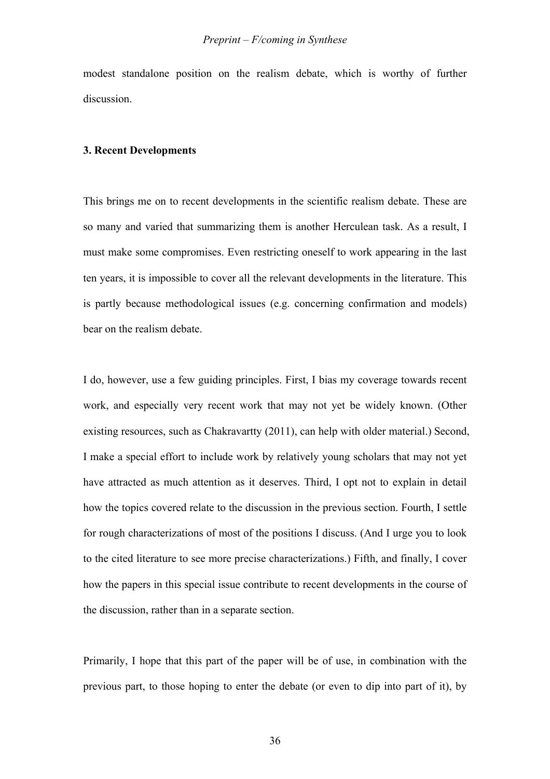modest standalone position on the realism debate, which is worthy of further discussion.

#### **3. Recent Developments**

This brings me on to recent developments in the scientific realism debate. These are so many and varied that summarizing them is another Herculean task. As a result, I must make some compromises. Even restricting oneself to work appearing in the last ten years, it is impossible to cover all the relevant developments in the literature. This is partly because methodological issues (e.g. concerning confirmation and models) bear on the realism debate.

I do, however, use a few guiding principles. First, I bias my coverage towards recent work, and especially very recent work that may not yet be widely known. (Other existing resources, such as Chakravartty (2011), can help with older material.) Second, I make a special effort to include work by relatively young scholars that may not yet have attracted as much attention as it deserves. Third, I opt not to explain in detail how the topics covered relate to the discussion in the previous section. Fourth, I settle for rough characterizations of most of the positions I discuss. (And I urge you to look to the cited literature to see more precise characterizations.) Fifth, and finally, I cover how the papers in this special issue contribute to recent developments in the course of the discussion, rather than in a separate section.

Primarily, I hope that this part of the paper will be of use, in combination with the previous part, to those hoping to enter the debate (or even to dip into part of it), by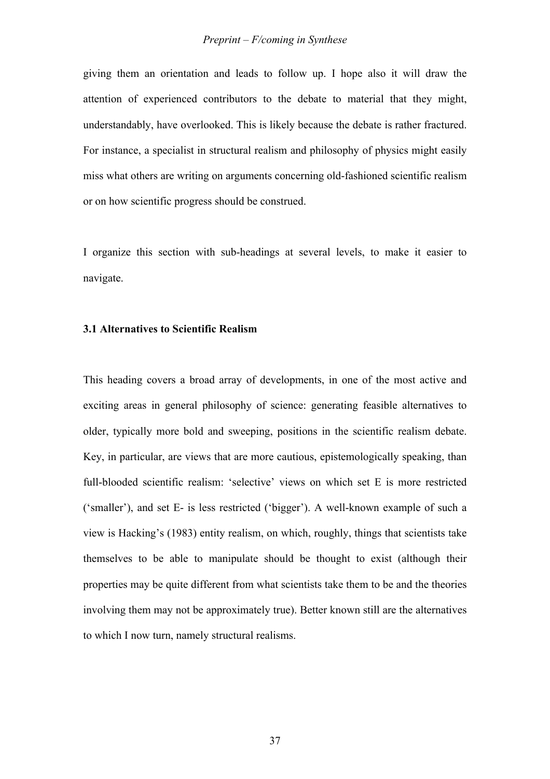giving them an orientation and leads to follow up. I hope also it will draw the attention of experienced contributors to the debate to material that they might, understandably, have overlooked. This is likely because the debate is rather fractured. For instance, a specialist in structural realism and philosophy of physics might easily miss what others are writing on arguments concerning old-fashioned scientific realism or on how scientific progress should be construed.

I organize this section with sub-headings at several levels, to make it easier to navigate.

# **3.1 Alternatives to Scientific Realism**

This heading covers a broad array of developments, in one of the most active and exciting areas in general philosophy of science: generating feasible alternatives to older, typically more bold and sweeping, positions in the scientific realism debate. Key, in particular, are views that are more cautious, epistemologically speaking, than full-blooded scientific realism: 'selective' views on which set E is more restricted ('smaller'), and set E- is less restricted ('bigger'). A well-known example of such a view is Hacking's (1983) entity realism, on which, roughly, things that scientists take themselves to be able to manipulate should be thought to exist (although their properties may be quite different from what scientists take them to be and the theories involving them may not be approximately true). Better known still are the alternatives to which I now turn, namely structural realisms.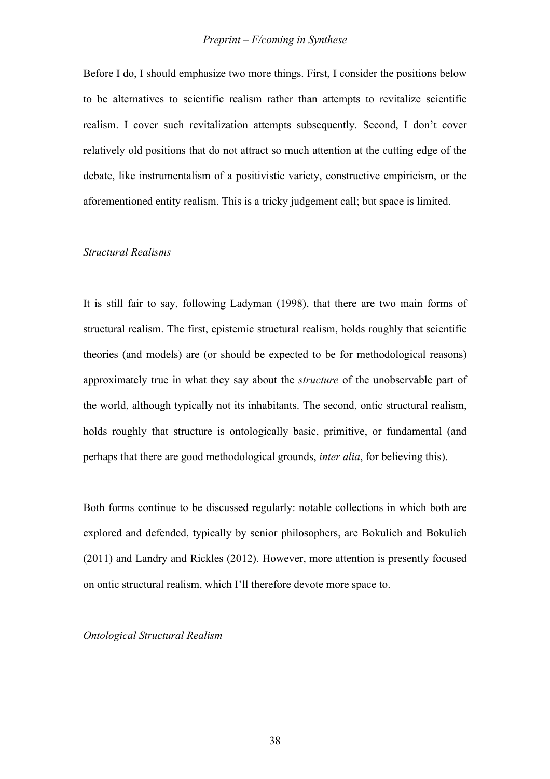Before I do, I should emphasize two more things. First, I consider the positions below to be alternatives to scientific realism rather than attempts to revitalize scientific realism. I cover such revitalization attempts subsequently. Second, I don't cover relatively old positions that do not attract so much attention at the cutting edge of the debate, like instrumentalism of a positivistic variety, constructive empiricism, or the aforementioned entity realism. This is a tricky judgement call; but space is limited.

#### *Structural Realisms*

It is still fair to say, following Ladyman (1998), that there are two main forms of structural realism. The first, epistemic structural realism, holds roughly that scientific theories (and models) are (or should be expected to be for methodological reasons) approximately true in what they say about the *structure* of the unobservable part of the world, although typically not its inhabitants. The second, ontic structural realism, holds roughly that structure is ontologically basic, primitive, or fundamental (and perhaps that there are good methodological grounds, *inter alia*, for believing this).

Both forms continue to be discussed regularly: notable collections in which both are explored and defended, typically by senior philosophers, are Bokulich and Bokulich (2011) and Landry and Rickles (2012). However, more attention is presently focused on ontic structural realism, which I'll therefore devote more space to.

## *Ontological Structural Realism*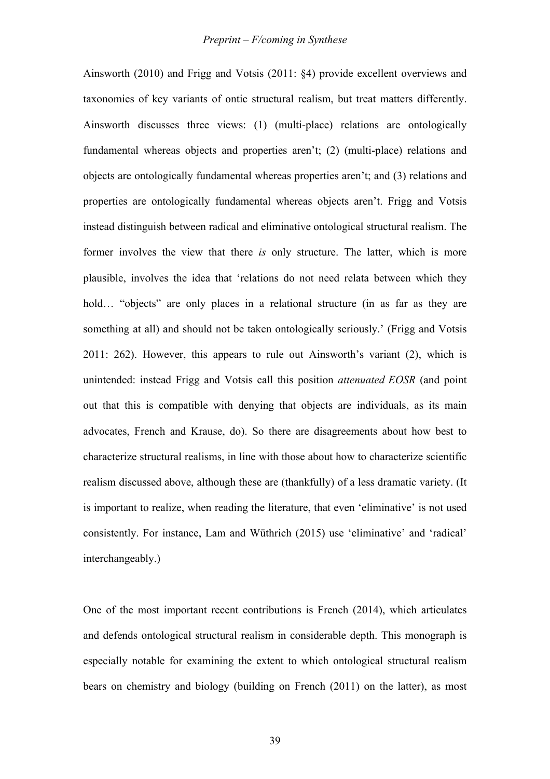Ainsworth (2010) and Frigg and Votsis (2011: §4) provide excellent overviews and taxonomies of key variants of ontic structural realism, but treat matters differently. Ainsworth discusses three views: (1) (multi-place) relations are ontologically fundamental whereas objects and properties aren't; (2) (multi-place) relations and objects are ontologically fundamental whereas properties aren't; and (3) relations and properties are ontologically fundamental whereas objects aren't. Frigg and Votsis instead distinguish between radical and eliminative ontological structural realism. The former involves the view that there *is* only structure. The latter, which is more plausible, involves the idea that 'relations do not need relata between which they hold… "objects" are only places in a relational structure (in as far as they are something at all) and should not be taken ontologically seriously.' (Frigg and Votsis 2011: 262). However, this appears to rule out Ainsworth's variant (2), which is unintended: instead Frigg and Votsis call this position *attenuated EOSR* (and point out that this is compatible with denying that objects are individuals, as its main advocates, French and Krause, do). So there are disagreements about how best to characterize structural realisms, in line with those about how to characterize scientific realism discussed above, although these are (thankfully) of a less dramatic variety. (It is important to realize, when reading the literature, that even 'eliminative' is not used consistently. For instance, Lam and Wüthrich (2015) use 'eliminative' and 'radical' interchangeably.)

One of the most important recent contributions is French (2014), which articulates and defends ontological structural realism in considerable depth. This monograph is especially notable for examining the extent to which ontological structural realism bears on chemistry and biology (building on French (2011) on the latter), as most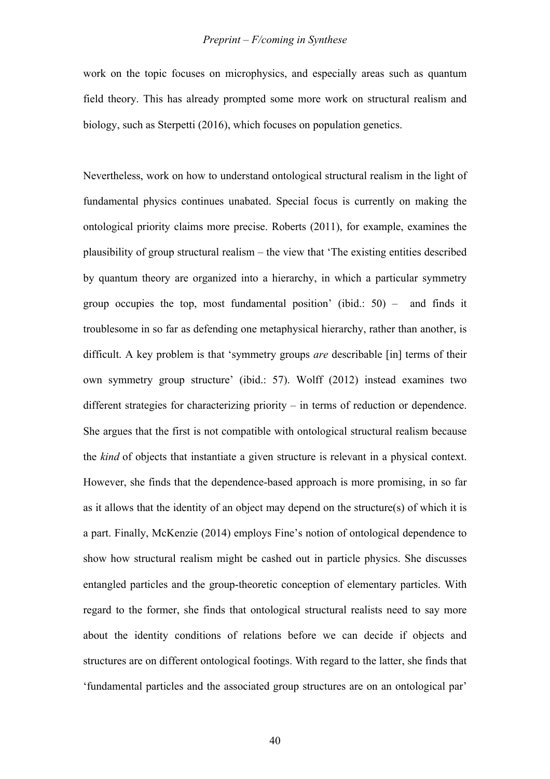work on the topic focuses on microphysics, and especially areas such as quantum field theory. This has already prompted some more work on structural realism and biology, such as Sterpetti (2016), which focuses on population genetics.

Nevertheless, work on how to understand ontological structural realism in the light of fundamental physics continues unabated. Special focus is currently on making the ontological priority claims more precise. Roberts (2011), for example, examines the plausibility of group structural realism – the view that 'The existing entities described by quantum theory are organized into a hierarchy, in which a particular symmetry group occupies the top, most fundamental position' (ibid.:  $50$ ) – and finds it troublesome in so far as defending one metaphysical hierarchy, rather than another, is difficult. A key problem is that 'symmetry groups *are* describable [in] terms of their own symmetry group structure' (ibid.: 57). Wolff (2012) instead examines two different strategies for characterizing priority – in terms of reduction or dependence. She argues that the first is not compatible with ontological structural realism because the *kind* of objects that instantiate a given structure is relevant in a physical context. However, she finds that the dependence-based approach is more promising, in so far as it allows that the identity of an object may depend on the structure(s) of which it is a part. Finally, McKenzie (2014) employs Fine's notion of ontological dependence to show how structural realism might be cashed out in particle physics. She discusses entangled particles and the group-theoretic conception of elementary particles. With regard to the former, she finds that ontological structural realists need to say more about the identity conditions of relations before we can decide if objects and structures are on different ontological footings. With regard to the latter, she finds that 'fundamental particles and the associated group structures are on an ontological par'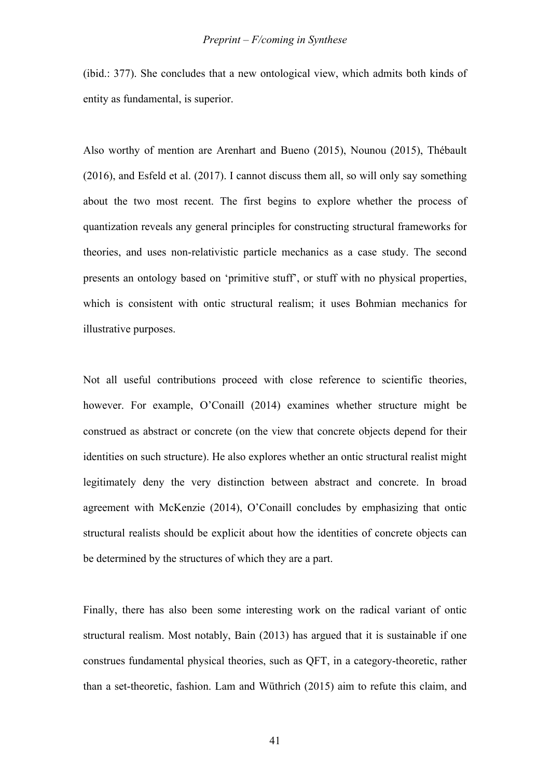(ibid.: 377). She concludes that a new ontological view, which admits both kinds of entity as fundamental, is superior.

Also worthy of mention are Arenhart and Bueno (2015), Nounou (2015), Thébault (2016), and Esfeld et al. (2017). I cannot discuss them all, so will only say something about the two most recent. The first begins to explore whether the process of quantization reveals any general principles for constructing structural frameworks for theories, and uses non-relativistic particle mechanics as a case study. The second presents an ontology based on 'primitive stuff', or stuff with no physical properties, which is consistent with ontic structural realism; it uses Bohmian mechanics for illustrative purposes.

Not all useful contributions proceed with close reference to scientific theories, however. For example, O'Conaill (2014) examines whether structure might be construed as abstract or concrete (on the view that concrete objects depend for their identities on such structure). He also explores whether an ontic structural realist might legitimately deny the very distinction between abstract and concrete. In broad agreement with McKenzie (2014), O'Conaill concludes by emphasizing that ontic structural realists should be explicit about how the identities of concrete objects can be determined by the structures of which they are a part.

Finally, there has also been some interesting work on the radical variant of ontic structural realism. Most notably, Bain (2013) has argued that it is sustainable if one construes fundamental physical theories, such as QFT, in a category-theoretic, rather than a set-theoretic, fashion. Lam and Wüthrich (2015) aim to refute this claim, and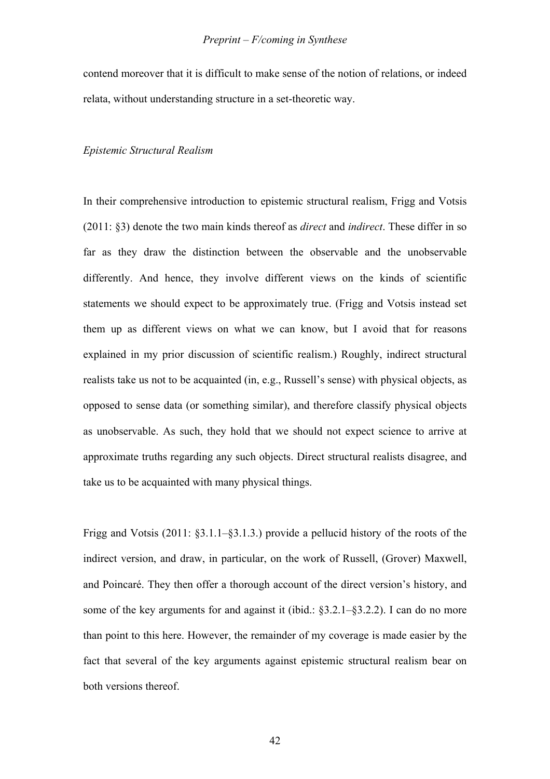contend moreover that it is difficult to make sense of the notion of relations, or indeed relata, without understanding structure in a set-theoretic way.

## *Epistemic Structural Realism*

In their comprehensive introduction to epistemic structural realism, Frigg and Votsis (2011: §3) denote the two main kinds thereof as *direct* and *indirect*. These differ in so far as they draw the distinction between the observable and the unobservable differently. And hence, they involve different views on the kinds of scientific statements we should expect to be approximately true. (Frigg and Votsis instead set them up as different views on what we can know, but I avoid that for reasons explained in my prior discussion of scientific realism.) Roughly, indirect structural realists take us not to be acquainted (in, e.g., Russell's sense) with physical objects, as opposed to sense data (or something similar), and therefore classify physical objects as unobservable. As such, they hold that we should not expect science to arrive at approximate truths regarding any such objects. Direct structural realists disagree, and take us to be acquainted with many physical things.

Frigg and Votsis (2011: §3.1.1–§3.1.3.) provide a pellucid history of the roots of the indirect version, and draw, in particular, on the work of Russell, (Grover) Maxwell, and Poincaré. They then offer a thorough account of the direct version's history, and some of the key arguments for and against it (ibid.: §3.2.1–§3.2.2). I can do no more than point to this here. However, the remainder of my coverage is made easier by the fact that several of the key arguments against epistemic structural realism bear on both versions thereof.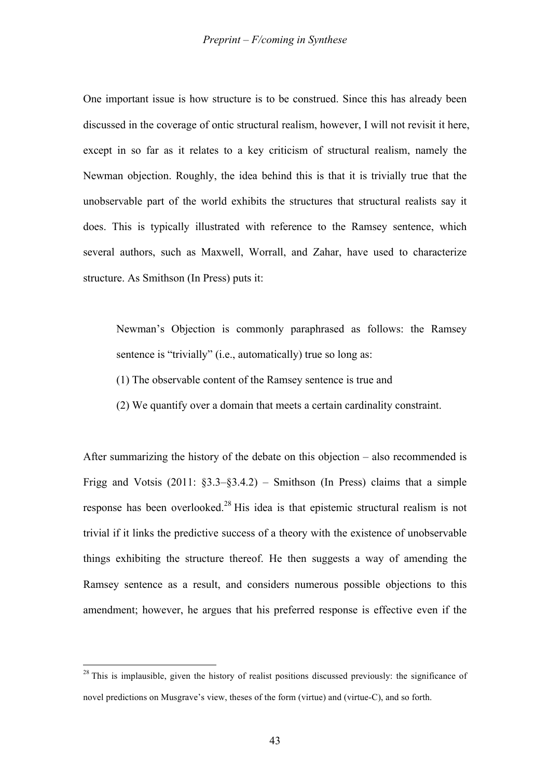One important issue is how structure is to be construed. Since this has already been discussed in the coverage of ontic structural realism, however, I will not revisit it here, except in so far as it relates to a key criticism of structural realism, namely the Newman objection. Roughly, the idea behind this is that it is trivially true that the unobservable part of the world exhibits the structures that structural realists say it does. This is typically illustrated with reference to the Ramsey sentence, which several authors, such as Maxwell, Worrall, and Zahar, have used to characterize structure. As Smithson (In Press) puts it:

Newman's Objection is commonly paraphrased as follows: the Ramsey sentence is "trivially" (i.e., automatically) true so long as:

- (1) The observable content of the Ramsey sentence is true and
- (2) We quantify over a domain that meets a certain cardinality constraint.

After summarizing the history of the debate on this objection – also recommended is Frigg and Votsis (2011:  $\S 3.3-\S 3.4.2$ ) – Smithson (In Press) claims that a simple response has been overlooked.<sup>28</sup> His idea is that epistemic structural realism is not trivial if it links the predictive success of a theory with the existence of unobservable things exhibiting the structure thereof. He then suggests a way of amending the Ramsey sentence as a result, and considers numerous possible objections to this amendment; however, he argues that his preferred response is effective even if the

<sup>&</sup>lt;sup>28</sup> This is implausible, given the history of realist positions discussed previously: the significance of novel predictions on Musgrave's view, theses of the form (virtue) and (virtue-C), and so forth.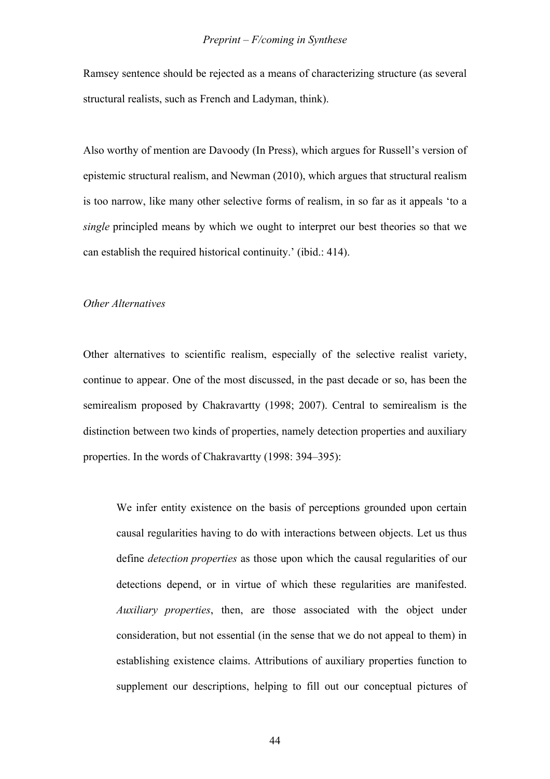Ramsey sentence should be rejected as a means of characterizing structure (as several structural realists, such as French and Ladyman, think).

Also worthy of mention are Davoody (In Press), which argues for Russell's version of epistemic structural realism, and Newman (2010), which argues that structural realism is too narrow, like many other selective forms of realism, in so far as it appeals 'to a *single* principled means by which we ought to interpret our best theories so that we can establish the required historical continuity.' (ibid.: 414).

#### *Other Alternatives*

Other alternatives to scientific realism, especially of the selective realist variety, continue to appear. One of the most discussed, in the past decade or so, has been the semirealism proposed by Chakravartty (1998; 2007). Central to semirealism is the distinction between two kinds of properties, namely detection properties and auxiliary properties. In the words of Chakravartty (1998: 394–395):

We infer entity existence on the basis of perceptions grounded upon certain causal regularities having to do with interactions between objects. Let us thus define *detection properties* as those upon which the causal regularities of our detections depend, or in virtue of which these regularities are manifested. *Auxiliary properties*, then, are those associated with the object under consideration, but not essential (in the sense that we do not appeal to them) in establishing existence claims. Attributions of auxiliary properties function to supplement our descriptions, helping to fill out our conceptual pictures of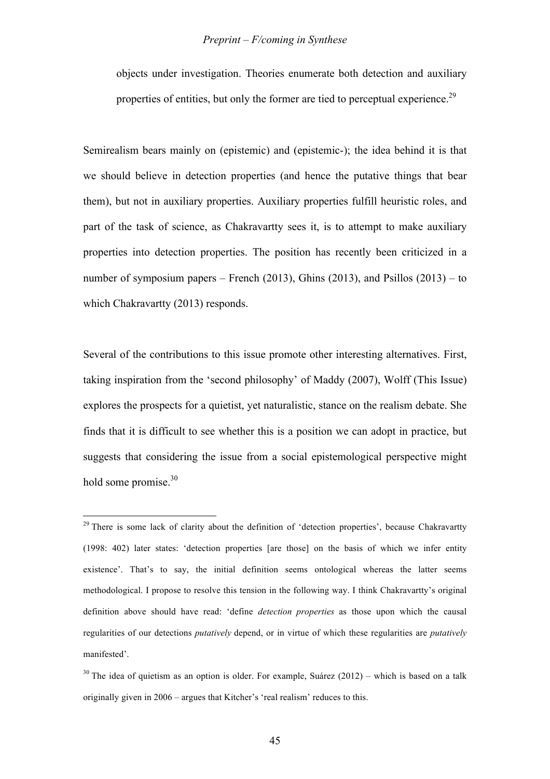objects under investigation. Theories enumerate both detection and auxiliary properties of entities, but only the former are tied to perceptual experience.<sup>29</sup>

Semirealism bears mainly on (epistemic) and (epistemic-); the idea behind it is that we should believe in detection properties (and hence the putative things that bear them), but not in auxiliary properties. Auxiliary properties fulfill heuristic roles, and part of the task of science, as Chakravartty sees it, is to attempt to make auxiliary properties into detection properties. The position has recently been criticized in a number of symposium papers – French  $(2013)$ , Ghins  $(2013)$ , and Psillos  $(2013)$  – to which Chakravartty (2013) responds.

Several of the contributions to this issue promote other interesting alternatives. First, taking inspiration from the 'second philosophy' of Maddy (2007), Wolff (This Issue) explores the prospects for a quietist, yet naturalistic, stance on the realism debate. She finds that it is difficult to see whether this is a position we can adopt in practice, but suggests that considering the issue from a social epistemological perspective might hold some promise.<sup>30</sup>

<sup>&</sup>lt;sup>29</sup> There is some lack of clarity about the definition of 'detection properties', because Chakravartty (1998: 402) later states: 'detection properties [are those] on the basis of which we infer entity existence'. That's to say, the initial definition seems ontological whereas the latter seems methodological. I propose to resolve this tension in the following way. I think Chakravartty's original definition above should have read: 'define *detection properties* as those upon which the causal regularities of our detections *putatively* depend, or in virtue of which these regularities are *putatively*  manifested'.

 $30$  The idea of quietism as an option is older. For example, Suárez (2012) – which is based on a talk originally given in 2006 – argues that Kitcher's 'real realism' reduces to this.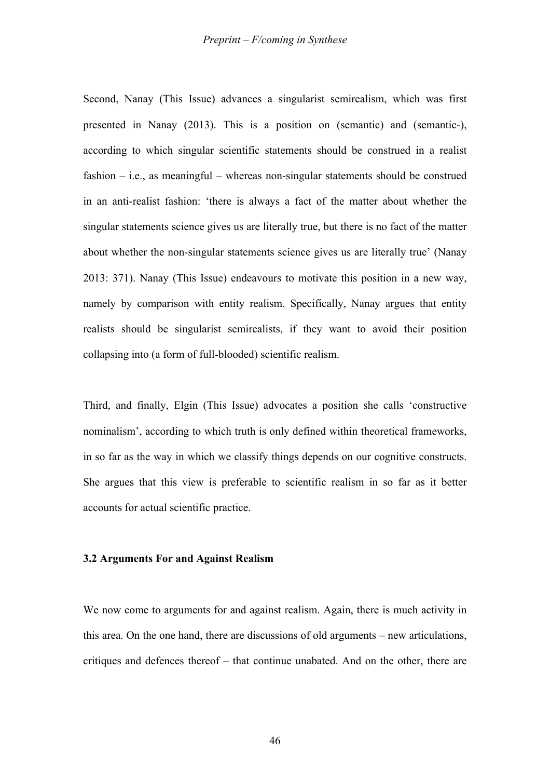Second, Nanay (This Issue) advances a singularist semirealism, which was first presented in Nanay (2013). This is a position on (semantic) and (semantic-), according to which singular scientific statements should be construed in a realist fashion – i.e., as meaningful – whereas non-singular statements should be construed in an anti-realist fashion: 'there is always a fact of the matter about whether the singular statements science gives us are literally true, but there is no fact of the matter about whether the non-singular statements science gives us are literally true' (Nanay 2013: 371). Nanay (This Issue) endeavours to motivate this position in a new way, namely by comparison with entity realism. Specifically, Nanay argues that entity realists should be singularist semirealists, if they want to avoid their position collapsing into (a form of full-blooded) scientific realism.

Third, and finally, Elgin (This Issue) advocates a position she calls 'constructive nominalism', according to which truth is only defined within theoretical frameworks, in so far as the way in which we classify things depends on our cognitive constructs. She argues that this view is preferable to scientific realism in so far as it better accounts for actual scientific practice.

#### **3.2 Arguments For and Against Realism**

We now come to arguments for and against realism. Again, there is much activity in this area. On the one hand, there are discussions of old arguments – new articulations, critiques and defences thereof – that continue unabated. And on the other, there are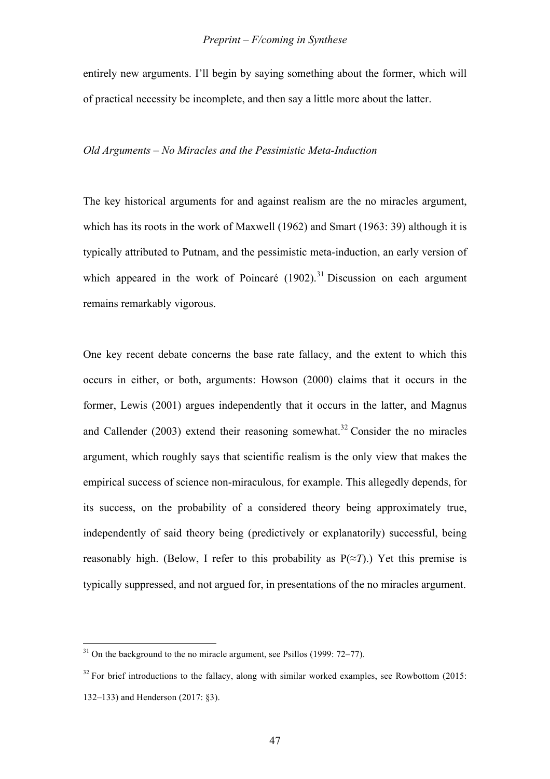entirely new arguments. I'll begin by saying something about the former, which will of practical necessity be incomplete, and then say a little more about the latter.

## *Old Arguments – No Miracles and the Pessimistic Meta-Induction*

The key historical arguments for and against realism are the no miracles argument, which has its roots in the work of Maxwell (1962) and Smart (1963: 39) although it is typically attributed to Putnam, and the pessimistic meta-induction, an early version of which appeared in the work of Poincaré  $(1902)$ .<sup>31</sup> Discussion on each argument remains remarkably vigorous.

One key recent debate concerns the base rate fallacy, and the extent to which this occurs in either, or both, arguments: Howson (2000) claims that it occurs in the former, Lewis (2001) argues independently that it occurs in the latter, and Magnus and Callender (2003) extend their reasoning somewhat.<sup>32</sup> Consider the no miracles argument, which roughly says that scientific realism is the only view that makes the empirical success of science non-miraculous, for example. This allegedly depends, for its success, on the probability of a considered theory being approximately true, independently of said theory being (predictively or explanatorily) successful, being reasonably high. (Below, I refer to this probability as  $P(\approx T)$ .) Yet this premise is typically suppressed, and not argued for, in presentations of the no miracles argument.

 $31$  On the background to the no miracle argument, see Psillos (1999: 72–77).

 $32$  For brief introductions to the fallacy, along with similar worked examples, see Rowbottom (2015:

<sup>132–133)</sup> and Henderson (2017: §3).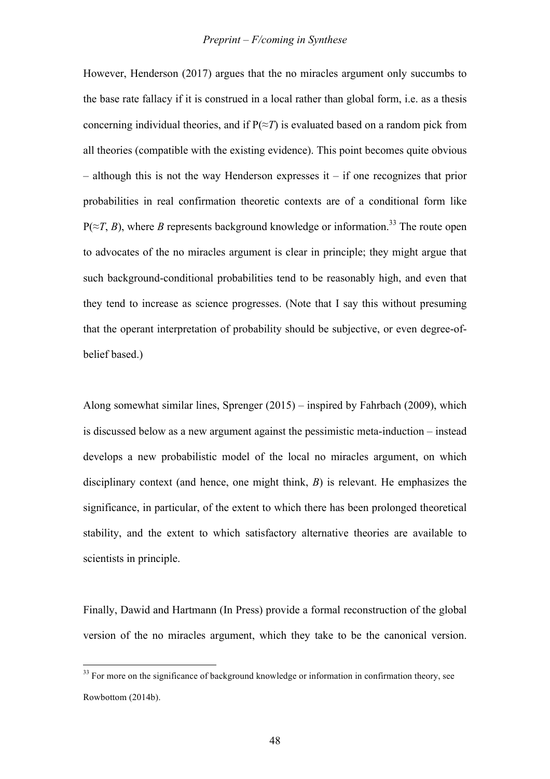However, Henderson (2017) argues that the no miracles argument only succumbs to the base rate fallacy if it is construed in a local rather than global form, i.e. as a thesis concerning individual theories, and if  $P(\approx T)$  is evaluated based on a random pick from all theories (compatible with the existing evidence). This point becomes quite obvious  $-$  although this is not the way Henderson expresses it  $-$  if one recognizes that prior probabilities in real confirmation theoretic contexts are of a conditional form like  $P(\approx T, B)$ , where *B* represents background knowledge or information.<sup>33</sup> The route open to advocates of the no miracles argument is clear in principle; they might argue that such background-conditional probabilities tend to be reasonably high, and even that they tend to increase as science progresses. (Note that I say this without presuming that the operant interpretation of probability should be subjective, or even degree-ofbelief based.)

Along somewhat similar lines, Sprenger (2015) – inspired by Fahrbach (2009), which is discussed below as a new argument against the pessimistic meta-induction – instead develops a new probabilistic model of the local no miracles argument, on which disciplinary context (and hence, one might think, *B*) is relevant. He emphasizes the significance, in particular, of the extent to which there has been prolonged theoretical stability, and the extent to which satisfactory alternative theories are available to scientists in principle.

Finally, Dawid and Hartmann (In Press) provide a formal reconstruction of the global version of the no miracles argument, which they take to be the canonical version.

<sup>&</sup>lt;sup>33</sup> For more on the significance of background knowledge or information in confirmation theory, see Rowbottom (2014b).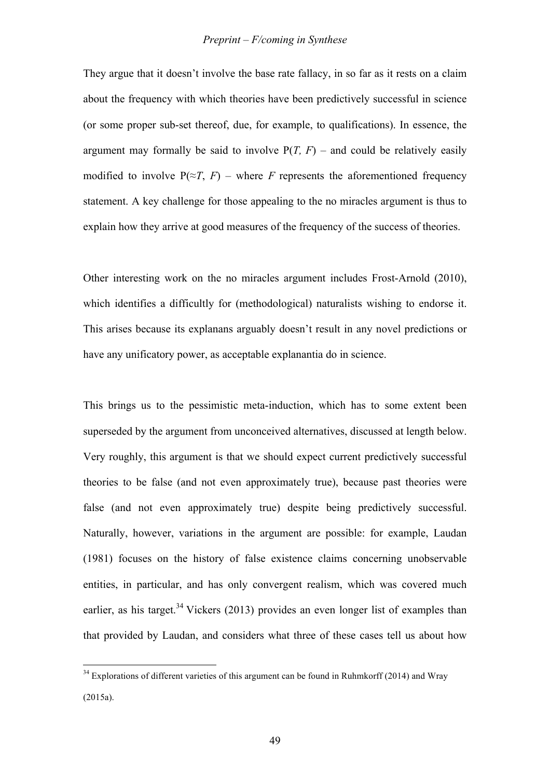They argue that it doesn't involve the base rate fallacy, in so far as it rests on a claim about the frequency with which theories have been predictively successful in science (or some proper sub-set thereof, due, for example, to qualifications). In essence, the argument may formally be said to involve  $P(T, F)$  – and could be relatively easily modified to involve  $P(\approx T, F)$  – where *F* represents the aforementioned frequency statement. A key challenge for those appealing to the no miracles argument is thus to explain how they arrive at good measures of the frequency of the success of theories.

Other interesting work on the no miracles argument includes Frost-Arnold (2010), which identifies a difficultly for (methodological) naturalists wishing to endorse it. This arises because its explanans arguably doesn't result in any novel predictions or have any unificatory power, as acceptable explanantia do in science.

This brings us to the pessimistic meta-induction, which has to some extent been superseded by the argument from unconceived alternatives, discussed at length below. Very roughly, this argument is that we should expect current predictively successful theories to be false (and not even approximately true), because past theories were false (and not even approximately true) despite being predictively successful. Naturally, however, variations in the argument are possible: for example, Laudan (1981) focuses on the history of false existence claims concerning unobservable entities, in particular, and has only convergent realism, which was covered much earlier, as his target.<sup>34</sup> Vickers (2013) provides an even longer list of examples than that provided by Laudan, and considers what three of these cases tell us about how

 $34$  Explorations of different varieties of this argument can be found in Ruhmkorff (2014) and Wray (2015a).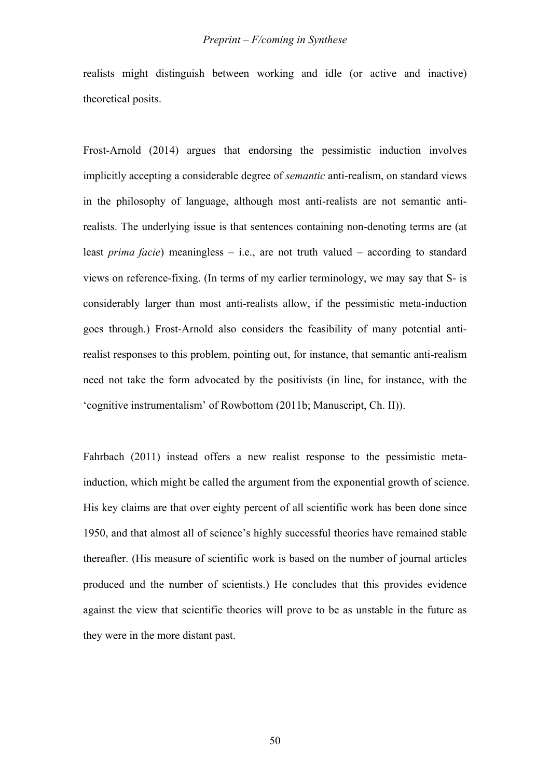realists might distinguish between working and idle (or active and inactive) theoretical posits.

Frost-Arnold (2014) argues that endorsing the pessimistic induction involves implicitly accepting a considerable degree of *semantic* anti-realism, on standard views in the philosophy of language, although most anti-realists are not semantic antirealists. The underlying issue is that sentences containing non-denoting terms are (at least *prima facie*) meaningless – i.e., are not truth valued – according to standard views on reference-fixing. (In terms of my earlier terminology, we may say that S- is considerably larger than most anti-realists allow, if the pessimistic meta-induction goes through.) Frost-Arnold also considers the feasibility of many potential antirealist responses to this problem, pointing out, for instance, that semantic anti-realism need not take the form advocated by the positivists (in line, for instance, with the 'cognitive instrumentalism' of Rowbottom (2011b; Manuscript, Ch. II)).

Fahrbach (2011) instead offers a new realist response to the pessimistic metainduction, which might be called the argument from the exponential growth of science. His key claims are that over eighty percent of all scientific work has been done since 1950, and that almost all of science's highly successful theories have remained stable thereafter. (His measure of scientific work is based on the number of journal articles produced and the number of scientists.) He concludes that this provides evidence against the view that scientific theories will prove to be as unstable in the future as they were in the more distant past.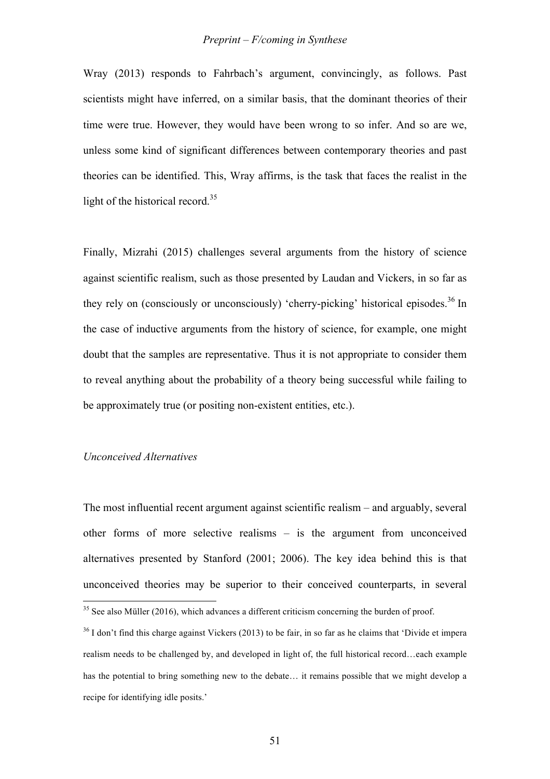Wray (2013) responds to Fahrbach's argument, convincingly, as follows. Past scientists might have inferred, on a similar basis, that the dominant theories of their time were true. However, they would have been wrong to so infer. And so are we, unless some kind of significant differences between contemporary theories and past theories can be identified. This, Wray affirms, is the task that faces the realist in the light of the historical record.<sup>35</sup>

Finally, Mizrahi (2015) challenges several arguments from the history of science against scientific realism, such as those presented by Laudan and Vickers, in so far as they rely on (consciously or unconsciously) 'cherry-picking' historical episodes.<sup>36</sup> In the case of inductive arguments from the history of science, for example, one might doubt that the samples are representative. Thus it is not appropriate to consider them to reveal anything about the probability of a theory being successful while failing to be approximately true (or positing non-existent entities, etc.).

## *Unconceived Alternatives*

The most influential recent argument against scientific realism – and arguably, several other forms of more selective realisms – is the argument from unconceived alternatives presented by Stanford (2001; 2006). The key idea behind this is that unconceived theories may be superior to their conceived counterparts, in several

 $35$  See also Müller (2016), which advances a different criticism concerning the burden of proof.

<sup>&</sup>lt;sup>36</sup> I don't find this charge against Vickers (2013) to be fair, in so far as he claims that 'Divide et impera realism needs to be challenged by, and developed in light of, the full historical record…each example has the potential to bring something new to the debate… it remains possible that we might develop a recipe for identifying idle posits.'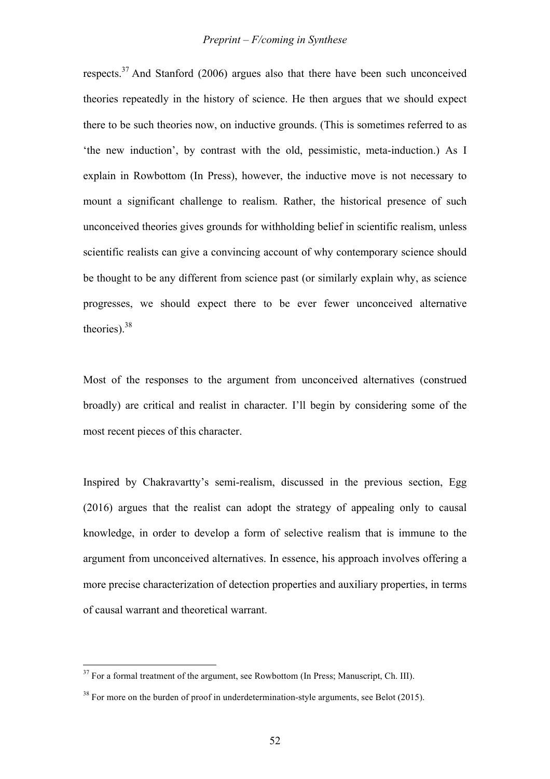respects.<sup>37</sup> And Stanford (2006) argues also that there have been such unconceived theories repeatedly in the history of science. He then argues that we should expect there to be such theories now, on inductive grounds. (This is sometimes referred to as 'the new induction', by contrast with the old, pessimistic, meta-induction.) As I explain in Rowbottom (In Press), however, the inductive move is not necessary to mount a significant challenge to realism. Rather, the historical presence of such unconceived theories gives grounds for withholding belief in scientific realism, unless scientific realists can give a convincing account of why contemporary science should be thought to be any different from science past (or similarly explain why, as science progresses, we should expect there to be ever fewer unconceived alternative theories).38

Most of the responses to the argument from unconceived alternatives (construed broadly) are critical and realist in character. I'll begin by considering some of the most recent pieces of this character.

Inspired by Chakravartty's semi-realism, discussed in the previous section, Egg (2016) argues that the realist can adopt the strategy of appealing only to causal knowledge, in order to develop a form of selective realism that is immune to the argument from unconceived alternatives. In essence, his approach involves offering a more precise characterization of detection properties and auxiliary properties, in terms of causal warrant and theoretical warrant.

 $37$  For a formal treatment of the argument, see Rowbottom (In Press; Manuscript, Ch. III).

 $38$  For more on the burden of proof in underdetermination-style arguments, see Belot (2015).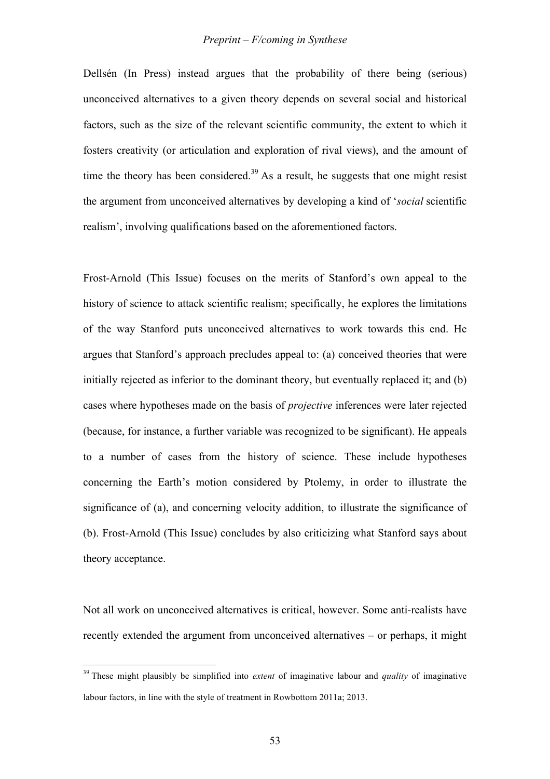Dellsén (In Press) instead argues that the probability of there being (serious) unconceived alternatives to a given theory depends on several social and historical factors, such as the size of the relevant scientific community, the extent to which it fosters creativity (or articulation and exploration of rival views), and the amount of time the theory has been considered.<sup>39</sup> As a result, he suggests that one might resist the argument from unconceived alternatives by developing a kind of '*social* scientific realism', involving qualifications based on the aforementioned factors.

Frost-Arnold (This Issue) focuses on the merits of Stanford's own appeal to the history of science to attack scientific realism; specifically, he explores the limitations of the way Stanford puts unconceived alternatives to work towards this end. He argues that Stanford's approach precludes appeal to: (a) conceived theories that were initially rejected as inferior to the dominant theory, but eventually replaced it; and (b) cases where hypotheses made on the basis of *projective* inferences were later rejected (because, for instance, a further variable was recognized to be significant). He appeals to a number of cases from the history of science. These include hypotheses concerning the Earth's motion considered by Ptolemy, in order to illustrate the significance of (a), and concerning velocity addition, to illustrate the significance of (b). Frost-Arnold (This Issue) concludes by also criticizing what Stanford says about theory acceptance.

Not all work on unconceived alternatives is critical, however. Some anti-realists have recently extended the argument from unconceived alternatives – or perhaps, it might

 <sup>39</sup> These might plausibly be simplified into *extent* of imaginative labour and *quality* of imaginative labour factors, in line with the style of treatment in Rowbottom 2011a; 2013.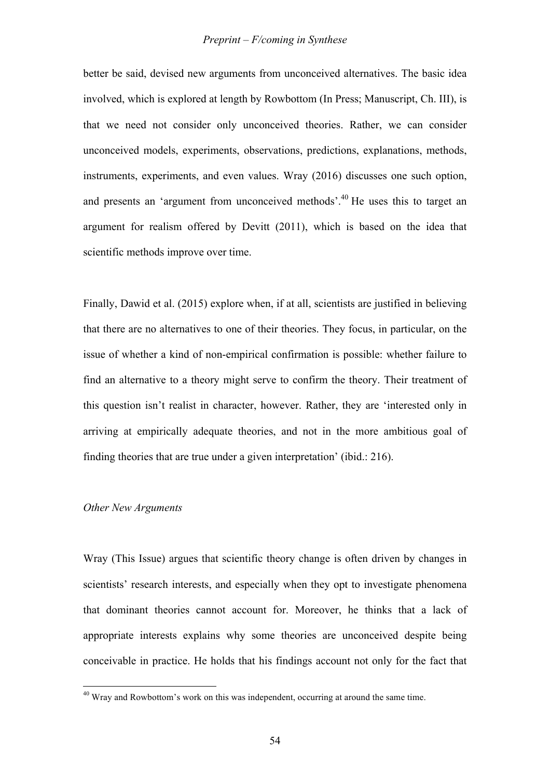better be said, devised new arguments from unconceived alternatives. The basic idea involved, which is explored at length by Rowbottom (In Press; Manuscript, Ch. III), is that we need not consider only unconceived theories. Rather, we can consider unconceived models, experiments, observations, predictions, explanations, methods, instruments, experiments, and even values. Wray (2016) discusses one such option, and presents an 'argument from unconceived methods'.<sup>40</sup> He uses this to target an argument for realism offered by Devitt (2011), which is based on the idea that scientific methods improve over time.

Finally, Dawid et al. (2015) explore when, if at all, scientists are justified in believing that there are no alternatives to one of their theories. They focus, in particular, on the issue of whether a kind of non-empirical confirmation is possible: whether failure to find an alternative to a theory might serve to confirm the theory. Their treatment of this question isn't realist in character, however. Rather, they are 'interested only in arriving at empirically adequate theories, and not in the more ambitious goal of finding theories that are true under a given interpretation' (ibid.: 216).

## *Other New Arguments*

Wray (This Issue) argues that scientific theory change is often driven by changes in scientists' research interests, and especially when they opt to investigate phenomena that dominant theories cannot account for. Moreover, he thinks that a lack of appropriate interests explains why some theories are unconceived despite being conceivable in practice. He holds that his findings account not only for the fact that

<sup>&</sup>lt;sup>40</sup> Wray and Rowbottom's work on this was independent, occurring at around the same time.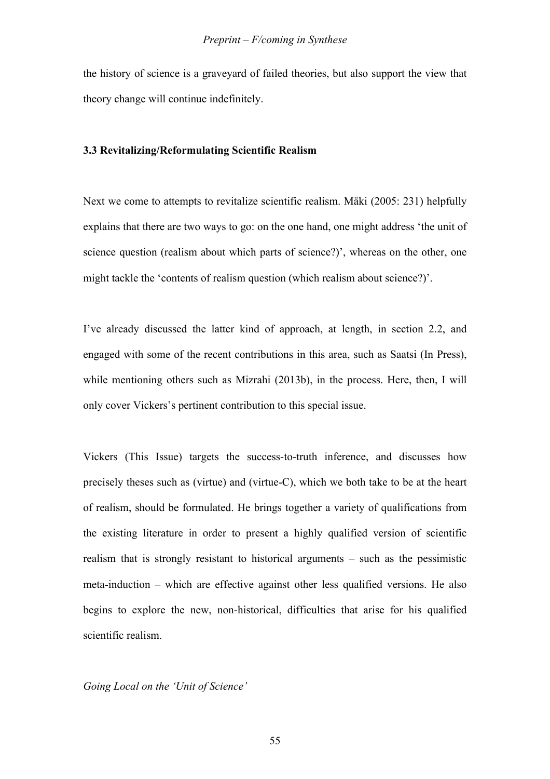the history of science is a graveyard of failed theories, but also support the view that theory change will continue indefinitely.

## **3.3 Revitalizing/Reformulating Scientific Realism**

Next we come to attempts to revitalize scientific realism. Mäki (2005: 231) helpfully explains that there are two ways to go: on the one hand, one might address 'the unit of science question (realism about which parts of science?)', whereas on the other, one might tackle the 'contents of realism question (which realism about science?)'.

I've already discussed the latter kind of approach, at length, in section 2.2, and engaged with some of the recent contributions in this area, such as Saatsi (In Press), while mentioning others such as Mizrahi (2013b), in the process. Here, then, I will only cover Vickers's pertinent contribution to this special issue.

Vickers (This Issue) targets the success-to-truth inference, and discusses how precisely theses such as (virtue) and (virtue-C), which we both take to be at the heart of realism, should be formulated. He brings together a variety of qualifications from the existing literature in order to present a highly qualified version of scientific realism that is strongly resistant to historical arguments – such as the pessimistic meta-induction – which are effective against other less qualified versions. He also begins to explore the new, non-historical, difficulties that arise for his qualified scientific realism.

*Going Local on the 'Unit of Science'*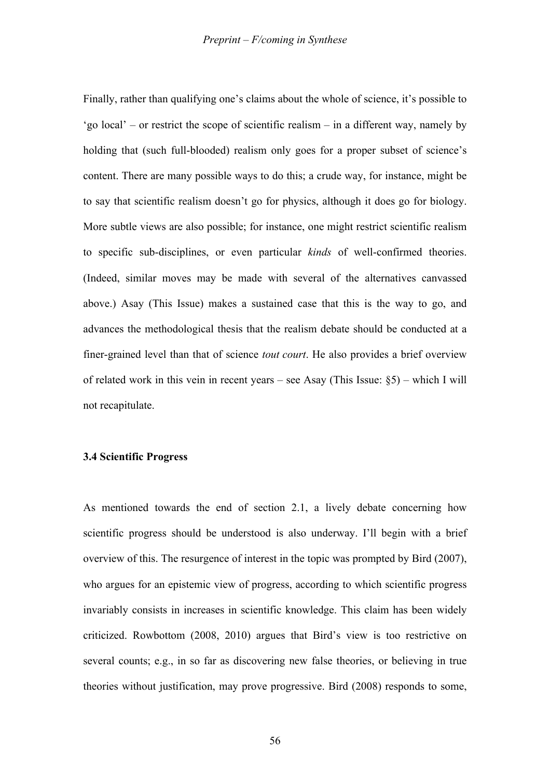Finally, rather than qualifying one's claims about the whole of science, it's possible to 'go local' – or restrict the scope of scientific realism – in a different way, namely by holding that (such full-blooded) realism only goes for a proper subset of science's content. There are many possible ways to do this; a crude way, for instance, might be to say that scientific realism doesn't go for physics, although it does go for biology. More subtle views are also possible; for instance, one might restrict scientific realism to specific sub-disciplines, or even particular *kinds* of well-confirmed theories. (Indeed, similar moves may be made with several of the alternatives canvassed above.) Asay (This Issue) makes a sustained case that this is the way to go, and advances the methodological thesis that the realism debate should be conducted at a finer-grained level than that of science *tout court*. He also provides a brief overview of related work in this vein in recent years – see Asay (This Issue: §5) – which I will not recapitulate.

#### **3.4 Scientific Progress**

As mentioned towards the end of section 2.1, a lively debate concerning how scientific progress should be understood is also underway. I'll begin with a brief overview of this. The resurgence of interest in the topic was prompted by Bird (2007), who argues for an epistemic view of progress, according to which scientific progress invariably consists in increases in scientific knowledge. This claim has been widely criticized. Rowbottom (2008, 2010) argues that Bird's view is too restrictive on several counts; e.g., in so far as discovering new false theories, or believing in true theories without justification, may prove progressive. Bird (2008) responds to some,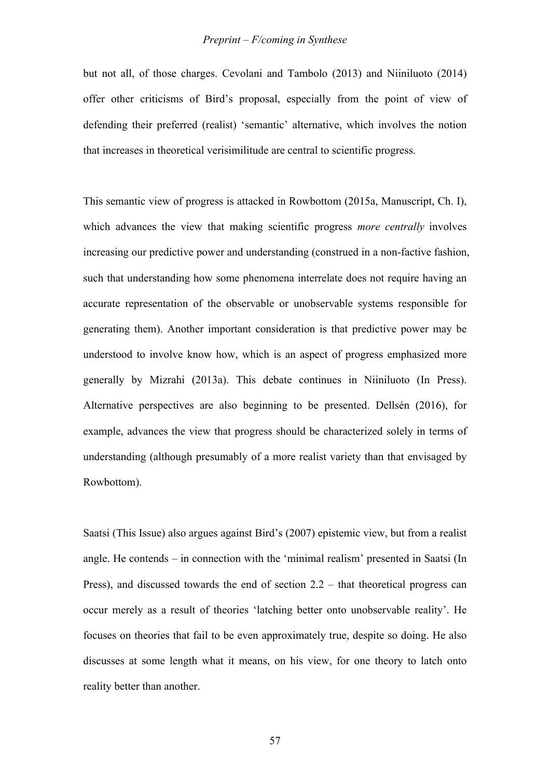but not all, of those charges. Cevolani and Tambolo (2013) and Niiniluoto (2014) offer other criticisms of Bird's proposal, especially from the point of view of defending their preferred (realist) 'semantic' alternative, which involves the notion that increases in theoretical verisimilitude are central to scientific progress.

This semantic view of progress is attacked in Rowbottom (2015a, Manuscript, Ch. I), which advances the view that making scientific progress *more centrally* involves increasing our predictive power and understanding (construed in a non-factive fashion, such that understanding how some phenomena interrelate does not require having an accurate representation of the observable or unobservable systems responsible for generating them). Another important consideration is that predictive power may be understood to involve know how, which is an aspect of progress emphasized more generally by Mizrahi (2013a). This debate continues in Niiniluoto (In Press). Alternative perspectives are also beginning to be presented. Dellsén (2016), for example, advances the view that progress should be characterized solely in terms of understanding (although presumably of a more realist variety than that envisaged by Rowbottom).

Saatsi (This Issue) also argues against Bird's (2007) epistemic view, but from a realist angle. He contends – in connection with the 'minimal realism' presented in Saatsi (In Press), and discussed towards the end of section 2.2 – that theoretical progress can occur merely as a result of theories 'latching better onto unobservable reality'. He focuses on theories that fail to be even approximately true, despite so doing. He also discusses at some length what it means, on his view, for one theory to latch onto reality better than another.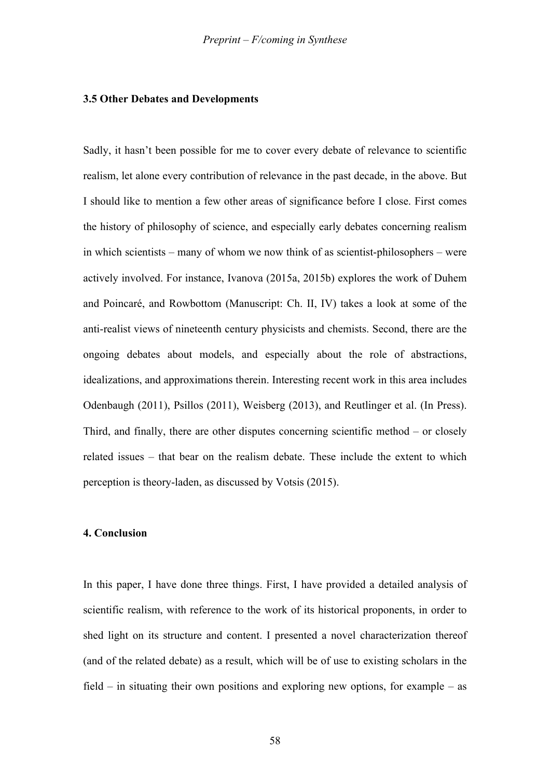#### **3.5 Other Debates and Developments**

Sadly, it hasn't been possible for me to cover every debate of relevance to scientific realism, let alone every contribution of relevance in the past decade, in the above. But I should like to mention a few other areas of significance before I close. First comes the history of philosophy of science, and especially early debates concerning realism in which scientists – many of whom we now think of as scientist-philosophers – were actively involved. For instance, Ivanova (2015a, 2015b) explores the work of Duhem and Poincaré, and Rowbottom (Manuscript: Ch. II, IV) takes a look at some of the anti-realist views of nineteenth century physicists and chemists. Second, there are the ongoing debates about models, and especially about the role of abstractions, idealizations, and approximations therein. Interesting recent work in this area includes Odenbaugh (2011), Psillos (2011), Weisberg (2013), and Reutlinger et al. (In Press). Third, and finally, there are other disputes concerning scientific method – or closely related issues – that bear on the realism debate. These include the extent to which perception is theory-laden, as discussed by Votsis (2015).

# **4. Conclusion**

In this paper, I have done three things. First, I have provided a detailed analysis of scientific realism, with reference to the work of its historical proponents, in order to shed light on its structure and content. I presented a novel characterization thereof (and of the related debate) as a result, which will be of use to existing scholars in the field – in situating their own positions and exploring new options, for example – as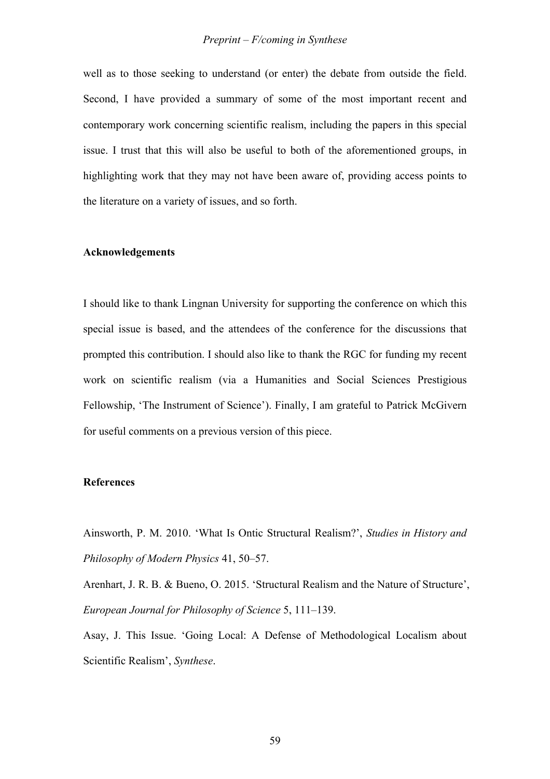well as to those seeking to understand (or enter) the debate from outside the field. Second, I have provided a summary of some of the most important recent and contemporary work concerning scientific realism, including the papers in this special issue. I trust that this will also be useful to both of the aforementioned groups, in highlighting work that they may not have been aware of, providing access points to the literature on a variety of issues, and so forth.

## **Acknowledgements**

I should like to thank Lingnan University for supporting the conference on which this special issue is based, and the attendees of the conference for the discussions that prompted this contribution. I should also like to thank the RGC for funding my recent work on scientific realism (via a Humanities and Social Sciences Prestigious Fellowship, 'The Instrument of Science'). Finally, I am grateful to Patrick McGivern for useful comments on a previous version of this piece.

# **References**

Ainsworth, P. M. 2010. 'What Is Ontic Structural Realism?', *Studies in History and Philosophy of Modern Physics* 41, 50–57.

Arenhart, J. R. B. & Bueno, O. 2015. 'Structural Realism and the Nature of Structure', *European Journal for Philosophy of Science* 5, 111–139.

Asay, J. This Issue. 'Going Local: A Defense of Methodological Localism about Scientific Realism', *Synthese*.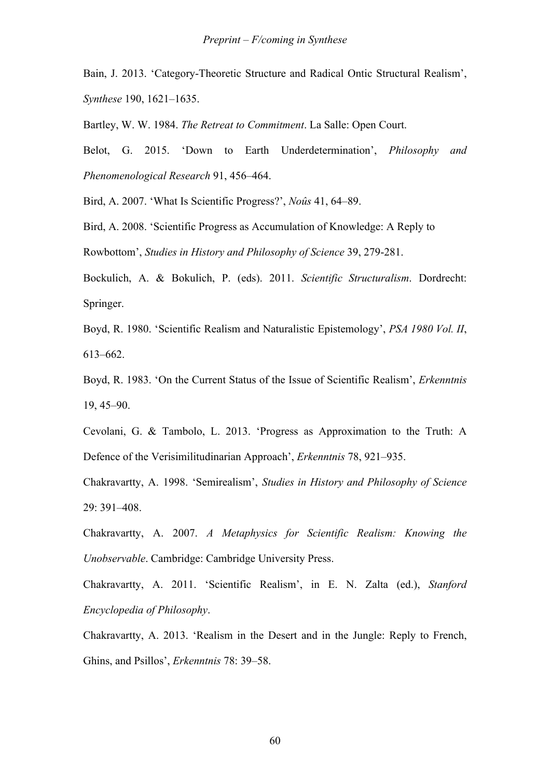Bain, J. 2013. 'Category-Theoretic Structure and Radical Ontic Structural Realism', *Synthese* 190, 1621–1635.

Bartley, W. W. 1984. *The Retreat to Commitment*. La Salle: Open Court.

Belot, G. 2015. 'Down to Earth Underdetermination', *Philosophy and Phenomenological Research* 91, 456–464.

Bird, A. 2007. 'What Is Scientific Progress?', *Noûs* 41, 64–89.

Bird, A. 2008. 'Scientific Progress as Accumulation of Knowledge: A Reply to Rowbottom', *Studies in History and Philosophy of Science* 39, 279-281.

Bockulich, A. & Bokulich, P. (eds). 2011. *Scientific Structuralism*. Dordrecht: Springer.

Boyd, R. 1980. 'Scientific Realism and Naturalistic Epistemology', *PSA 1980 Vol. II*, 613–662.

Boyd, R. 1983. 'On the Current Status of the Issue of Scientific Realism', *Erkenntnis*  19, 45–90.

Cevolani, G. & Tambolo, L. 2013. 'Progress as Approximation to the Truth: A Defence of the Verisimilitudinarian Approach', *Erkenntnis* 78, 921–935.

Chakravartty, A. 1998. 'Semirealism', *Studies in History and Philosophy of Science*  29: 391–408.

Chakravartty, A. 2007. *A Metaphysics for Scientific Realism: Knowing the Unobservable*. Cambridge: Cambridge University Press.

Chakravartty, A. 2011. 'Scientific Realism', in E. N. Zalta (ed.), *Stanford Encyclopedia of Philosophy*.

Chakravartty, A. 2013. 'Realism in the Desert and in the Jungle: Reply to French, Ghins, and Psillos', *Erkenntnis* 78: 39–58.

60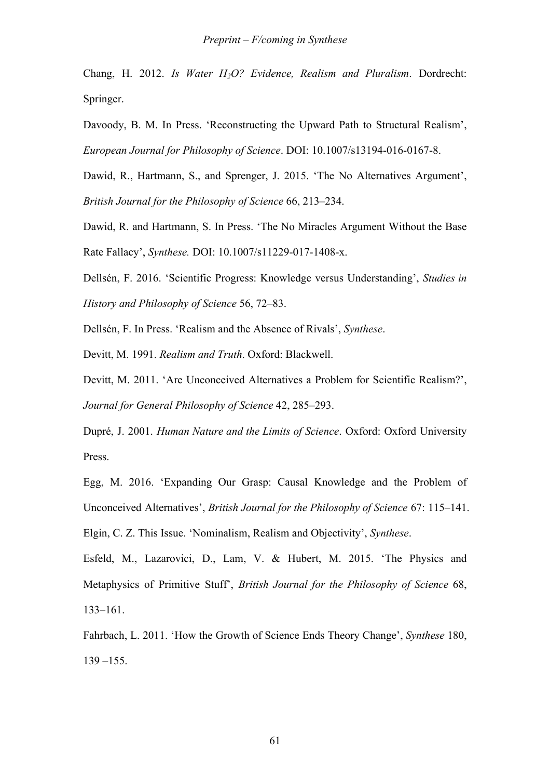Chang, H. 2012. *Is Water H2O? Evidence, Realism and Pluralism*. Dordrecht: Springer.

Davoody, B. M. In Press. 'Reconstructing the Upward Path to Structural Realism', *European Journal for Philosophy of Science*. DOI: 10.1007/s13194-016-0167-8.

Dawid, R., Hartmann, S., and Sprenger, J. 2015. 'The No Alternatives Argument', *British Journal for the Philosophy of Science* 66, 213–234.

Dawid, R. and Hartmann, S. In Press. 'The No Miracles Argument Without the Base Rate Fallacy', *Synthese.* DOI: 10.1007/s11229-017-1408-x.

Dellsén, F. 2016. 'Scientific Progress: Knowledge versus Understanding', *Studies in History and Philosophy of Science* 56, 72–83.

Dellsén, F. In Press. 'Realism and the Absence of Rivals', *Synthese*.

Devitt, M. 1991. *Realism and Truth*. Oxford: Blackwell.

Devitt, M. 2011. 'Are Unconceived Alternatives a Problem for Scientific Realism?', *Journal for General Philosophy of Science* 42, 285–293.

Dupré, J. 2001. *Human Nature and the Limits of Science*. Oxford: Oxford University Press.

Egg, M. 2016. 'Expanding Our Grasp: Causal Knowledge and the Problem of Unconceived Alternatives', *British Journal for the Philosophy of Science* 67: 115–141.

Elgin, C. Z. This Issue. 'Nominalism, Realism and Objectivity', *Synthese*.

Esfeld, M., Lazarovici, D., Lam, V. & Hubert, M. 2015. 'The Physics and Metaphysics of Primitive Stuff', *British Journal for the Philosophy of Science* 68, 133–161.

Fahrbach, L. 2011. 'How the Growth of Science Ends Theory Change', *Synthese* 180, 139 –155.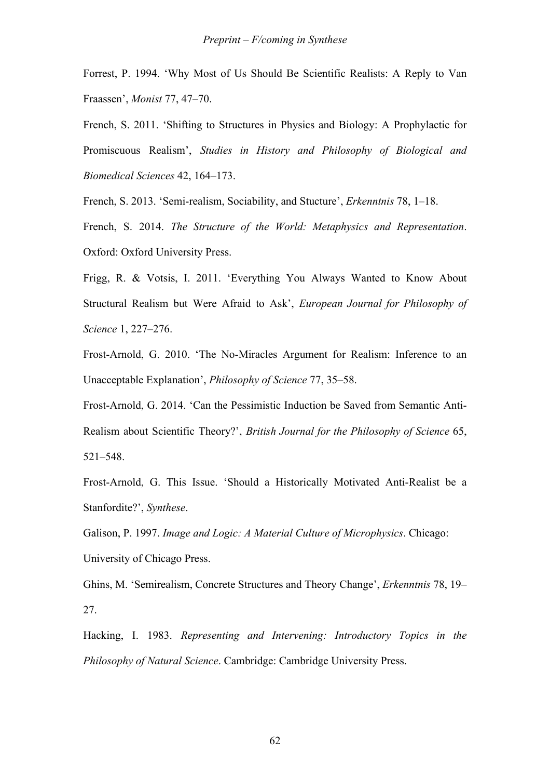Forrest, P. 1994. 'Why Most of Us Should Be Scientific Realists: A Reply to Van Fraassen', *Monist* 77, 47–70.

French, S. 2011. 'Shifting to Structures in Physics and Biology: A Prophylactic for Promiscuous Realism', *Studies in History and Philosophy of Biological and Biomedical Sciences* 42, 164–173.

French, S. 2013. 'Semi-realism, Sociability, and Stucture', *Erkenntnis* 78, 1–18.

French, S. 2014. *The Structure of the World: Metaphysics and Representation*. Oxford: Oxford University Press.

Frigg, R. & Votsis, I. 2011. 'Everything You Always Wanted to Know About Structural Realism but Were Afraid to Ask', *European Journal for Philosophy of Science* 1, 227–276.

Frost-Arnold, G. 2010. 'The No-Miracles Argument for Realism: Inference to an Unacceptable Explanation', *Philosophy of Science* 77, 35–58.

Frost-Arnold, G. 2014. 'Can the Pessimistic Induction be Saved from Semantic Anti-Realism about Scientific Theory?', *British Journal for the Philosophy of Science* 65, 521–548.

Frost-Arnold, G. This Issue. 'Should a Historically Motivated Anti-Realist be a Stanfordite?', *Synthese*.

Galison, P. 1997. *Image and Logic: A Material Culture of Microphysics*. Chicago: University of Chicago Press.

Ghins, M. 'Semirealism, Concrete Structures and Theory Change', *Erkenntnis* 78, 19– 27.

Hacking, I. 1983. *Representing and Intervening: Introductory Topics in the Philosophy of Natural Science*. Cambridge: Cambridge University Press.

62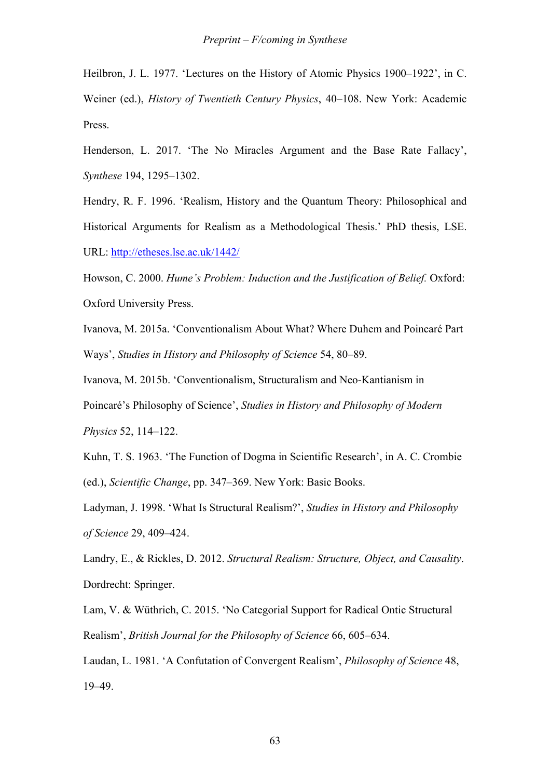Heilbron, J. L. 1977. 'Lectures on the History of Atomic Physics 1900–1922', in C. Weiner (ed.), *History of Twentieth Century Physics*, 40–108. New York: Academic Press.

Henderson, L. 2017. 'The No Miracles Argument and the Base Rate Fallacy', *Synthese* 194, 1295–1302.

Hendry, R. F. 1996. 'Realism, History and the Quantum Theory: Philosophical and Historical Arguments for Realism as a Methodological Thesis.' PhD thesis, LSE. URL: http://etheses.lse.ac.uk/1442/

Howson, C. 2000. *Hume's Problem: Induction and the Justification of Belief.* Oxford: Oxford University Press.

Ivanova, M. 2015a. 'Conventionalism About What? Where Duhem and Poincaré Part Ways', *Studies in History and Philosophy of Science* 54, 80–89.

Ivanova, M. 2015b. 'Conventionalism, Structuralism and Neo-Kantianism in Poincaré's Philosophy of Science', *Studies in History and Philosophy of Modern* 

*Physics* 52, 114–122.

Kuhn, T. S. 1963. 'The Function of Dogma in Scientific Research', in A. C. Crombie (ed.), *Scientific Change*, pp. 347–369. New York: Basic Books.

Ladyman, J. 1998. 'What Is Structural Realism?', *Studies in History and Philosophy of Science* 29, 409–424.

Landry, E., & Rickles, D. 2012. *Structural Realism: Structure, Object, and Causality*. Dordrecht: Springer.

Lam, V. & Wüthrich, C. 2015. 'No Categorial Support for Radical Ontic Structural Realism', *British Journal for the Philosophy of Science* 66, 605–634.

Laudan, L. 1981. 'A Confutation of Convergent Realism', *Philosophy of Science* 48, 19–49.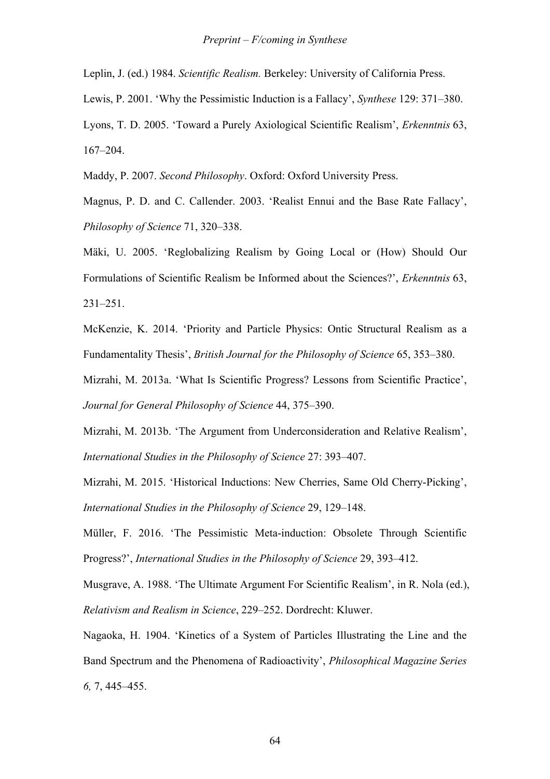Leplin, J. (ed.) 1984. *Scientific Realism.* Berkeley: University of California Press.

Lewis, P. 2001. 'Why the Pessimistic Induction is a Fallacy', *Synthese* 129: 371–380.

Lyons, T. D. 2005. 'Toward a Purely Axiological Scientific Realism', *Erkenntnis* 63, 167–204.

Maddy, P. 2007. *Second Philosophy*. Oxford: Oxford University Press.

Magnus, P. D. and C. Callender. 2003. 'Realist Ennui and the Base Rate Fallacy', *Philosophy of Science* 71, 320–338.

Mäki, U. 2005. 'Reglobalizing Realism by Going Local or (How) Should Our Formulations of Scientific Realism be Informed about the Sciences?', *Erkenntnis* 63, 231–251.

McKenzie, K. 2014. 'Priority and Particle Physics: Ontic Structural Realism as a Fundamentality Thesis', *British Journal for the Philosophy of Science* 65, 353–380.

Mizrahi, M. 2013a. 'What Is Scientific Progress? Lessons from Scientific Practice', *Journal for General Philosophy of Science* 44, 375–390.

Mizrahi, M. 2013b. 'The Argument from Underconsideration and Relative Realism', *International Studies in the Philosophy of Science* 27: 393–407.

Mizrahi, M. 2015. 'Historical Inductions: New Cherries, Same Old Cherry-Picking', *International Studies in the Philosophy of Science* 29, 129–148.

Müller, F. 2016. 'The Pessimistic Meta-induction: Obsolete Through Scientific Progress?', *International Studies in the Philosophy of Science* 29, 393–412.

Musgrave, A. 1988. 'The Ultimate Argument For Scientific Realism', in R. Nola (ed.), *Relativism and Realism in Science*, 229–252. Dordrecht: Kluwer.

Nagaoka, H. 1904. 'Kinetics of a System of Particles Illustrating the Line and the Band Spectrum and the Phenomena of Radioactivity', *Philosophical Magazine Series 6,* 7, 445–455.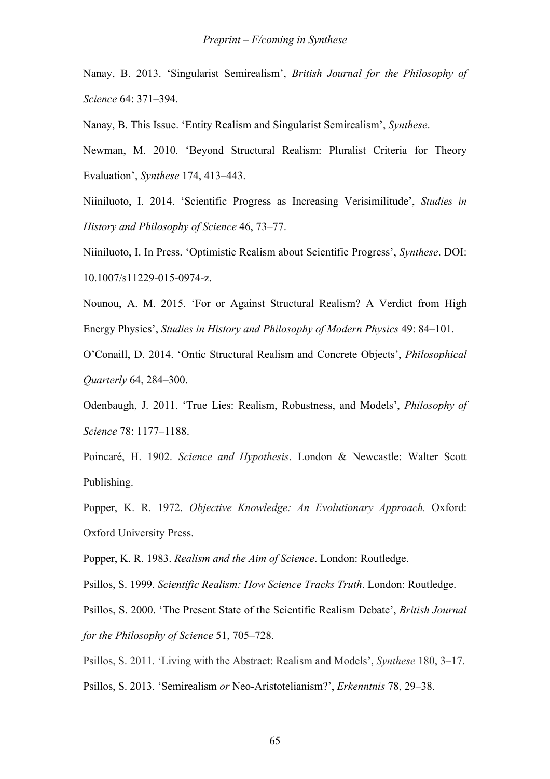Nanay, B. 2013. 'Singularist Semirealism', *British Journal for the Philosophy of Science* 64: 371–394.

Nanay, B. This Issue. 'Entity Realism and Singularist Semirealism', *Synthese*.

Newman, M. 2010. 'Beyond Structural Realism: Pluralist Criteria for Theory Evaluation', *Synthese* 174, 413–443.

Niiniluoto, I. 2014. 'Scientific Progress as Increasing Verisimilitude', *Studies in History and Philosophy of Science* 46, 73–77.

Niiniluoto, I. In Press. 'Optimistic Realism about Scientific Progress', *Synthese*. DOI: 10.1007/s11229-015-0974-z.

Nounou, A. M. 2015. 'For or Against Structural Realism? A Verdict from High Energy Physics', *Studies in History and Philosophy of Modern Physics* 49: 84–101.

O'Conaill, D. 2014. 'Ontic Structural Realism and Concrete Objects', *Philosophical Quarterly* 64, 284–300.

Odenbaugh, J. 2011. 'True Lies: Realism, Robustness, and Models', *Philosophy of Science* 78: 1177–1188.

Poincaré, H. 1902. *Science and Hypothesis*. London & Newcastle: Walter Scott Publishing.

Popper, K. R. 1972. *Objective Knowledge: An Evolutionary Approach.* Oxford: Oxford University Press.

Popper, K. R. 1983. *Realism and the Aim of Science*. London: Routledge.

Psillos, S. 1999. *Scientific Realism: How Science Tracks Truth*. London: Routledge.

Psillos, S. 2000. 'The Present State of the Scientific Realism Debate', *British Journal for the Philosophy of Science* 51, 705–728.

Psillos, S. 2011. 'Living with the Abstract: Realism and Models', *Synthese* 180, 3–17.

Psillos, S. 2013. 'Semirealism *or* Neo-Aristotelianism?', *Erkenntnis* 78, 29–38.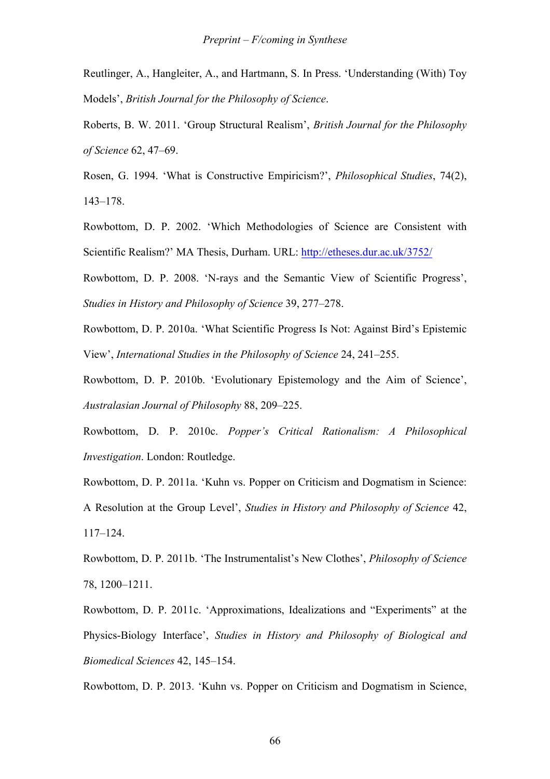Reutlinger, A., Hangleiter, A., and Hartmann, S. In Press. 'Understanding (With) Toy Models', *British Journal for the Philosophy of Science*.

Roberts, B. W. 2011. 'Group Structural Realism', *British Journal for the Philosophy of Science* 62, 47–69.

Rosen, G. 1994. 'What is Constructive Empiricism?', *Philosophical Studies*, 74(2), 143–178.

Rowbottom, D. P. 2002. 'Which Methodologies of Science are Consistent with Scientific Realism?' MA Thesis, Durham. URL: http://etheses.dur.ac.uk/3752/

Rowbottom, D. P. 2008. 'N-rays and the Semantic View of Scientific Progress', *Studies in History and Philosophy of Science* 39, 277–278.

Rowbottom, D. P. 2010a. 'What Scientific Progress Is Not: Against Bird's Epistemic View', *International Studies in the Philosophy of Science* 24, 241–255.

Rowbottom, D. P. 2010b. 'Evolutionary Epistemology and the Aim of Science', *Australasian Journal of Philosophy* 88, 209–225.

Rowbottom, D. P. 2010c. *Popper's Critical Rationalism: A Philosophical Investigation*. London: Routledge.

Rowbottom, D. P. 2011a. 'Kuhn vs. Popper on Criticism and Dogmatism in Science: A Resolution at the Group Level', *Studies in History and Philosophy of Science* 42, 117–124.

Rowbottom, D. P. 2011b. 'The Instrumentalist's New Clothes', *Philosophy of Science*  78, 1200–1211.

Rowbottom, D. P. 2011c. 'Approximations, Idealizations and "Experiments" at the Physics-Biology Interface', *Studies in History and Philosophy of Biological and Biomedical Sciences* 42, 145–154.

Rowbottom, D. P. 2013. 'Kuhn vs. Popper on Criticism and Dogmatism in Science,

66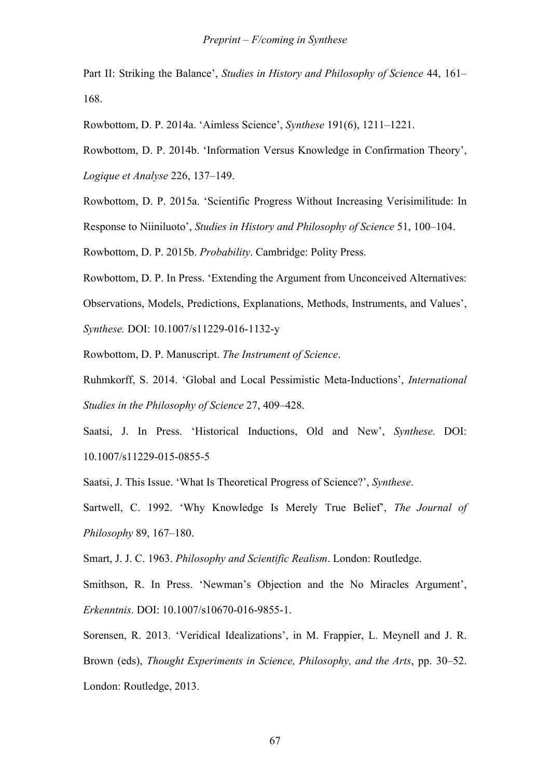Part II: Striking the Balance', *Studies in History and Philosophy of Science* 44, 161– 168.

Rowbottom, D. P. 2014a. 'Aimless Science', *Synthese* 191(6), 1211–1221.

Rowbottom, D. P. 2014b. 'Information Versus Knowledge in Confirmation Theory', *Logique et Analyse* 226, 137–149.

Rowbottom, D. P. 2015a. 'Scientific Progress Without Increasing Verisimilitude: In Response to Niiniluoto', *Studies in History and Philosophy of Science* 51, 100–104.

Rowbottom, D. P. 2015b. *Probability*. Cambridge: Polity Press.

Rowbottom, D. P. In Press. 'Extending the Argument from Unconceived Alternatives:

Observations, Models, Predictions, Explanations, Methods, Instruments, and Values', *Synthese.* DOI: 10.1007/s11229-016-1132-y

Rowbottom, D. P. Manuscript. *The Instrument of Science*.

Ruhmkorff, S. 2014. 'Global and Local Pessimistic Meta-Inductions', *International Studies in the Philosophy of Science* 27, 409–428.

Saatsi, J. In Press. 'Historical Inductions, Old and New', *Synthese.* DOI: 10.1007/s11229-015-0855-5

Saatsi, J. This Issue. 'What Is Theoretical Progress of Science?', *Synthese*.

Sartwell, C. 1992. 'Why Knowledge Is Merely True Belief', *The Journal of Philosophy* 89, 167–180.

Smart, J. J. C. 1963. *Philosophy and Scientific Realism*. London: Routledge.

Smithson, R. In Press. 'Newman's Objection and the No Miracles Argument', *Erkenntnis*. DOI: 10.1007/s10670-016-9855-1.

Sorensen, R. 2013. 'Veridical Idealizations', in M. Frappier, L. Meynell and J. R. Brown (eds), *Thought Experiments in Science, Philosophy, and the Arts*, pp. 30–52. London: Routledge, 2013.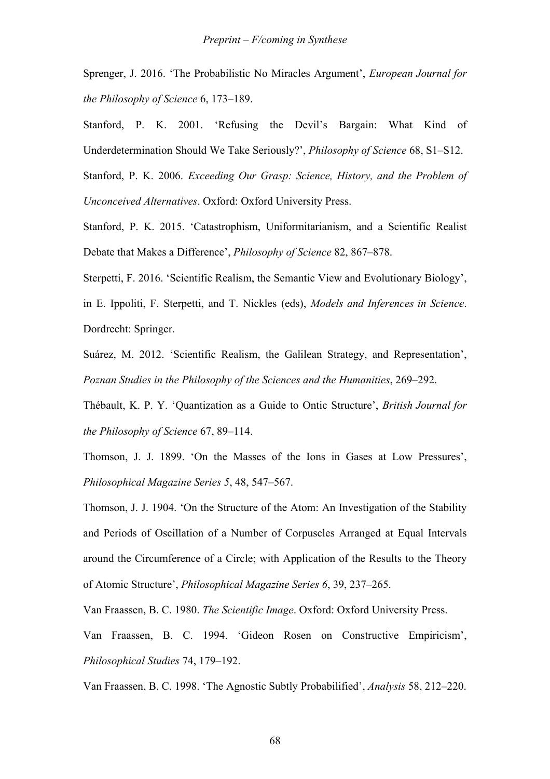Sprenger, J. 2016. 'The Probabilistic No Miracles Argument', *European Journal for the Philosophy of Science* 6, 173–189.

Stanford, P. K. 2001. 'Refusing the Devil's Bargain: What Kind of Underdetermination Should We Take Seriously?', *Philosophy of Science* 68, S1–S12.

Stanford, P. K. 2006. *Exceeding Our Grasp: Science, History, and the Problem of Unconceived Alternatives*. Oxford: Oxford University Press.

Stanford, P. K. 2015. 'Catastrophism, Uniformitarianism, and a Scientific Realist Debate that Makes a Difference', *Philosophy of Science* 82, 867–878.

Sterpetti, F. 2016. 'Scientific Realism, the Semantic View and Evolutionary Biology',

in E. Ippoliti, F. Sterpetti, and T. Nickles (eds), *Models and Inferences in Science*. Dordrecht: Springer.

Suárez, M. 2012. 'Scientific Realism, the Galilean Strategy, and Representation', *Poznan Studies in the Philosophy of the Sciences and the Humanities*, 269–292.

Thébault, K. P. Y. 'Quantization as a Guide to Ontic Structure', *British Journal for the Philosophy of Science* 67, 89–114.

Thomson, J. J. 1899. 'On the Masses of the Ions in Gases at Low Pressures', *Philosophical Magazine Series 5*, 48, 547–567.

Thomson, J. J. 1904. 'On the Structure of the Atom: An Investigation of the Stability and Periods of Oscillation of a Number of Corpuscles Arranged at Equal Intervals around the Circumference of a Circle; with Application of the Results to the Theory of Atomic Structure', *Philosophical Magazine Series 6*, 39, 237–265.

Van Fraassen, B. C. 1980. *The Scientific Image*. Oxford: Oxford University Press.

Van Fraassen, B. C. 1994. 'Gideon Rosen on Constructive Empiricism', *Philosophical Studies* 74, 179–192.

Van Fraassen, B. C. 1998. 'The Agnostic Subtly Probabilified', *Analysis* 58, 212–220.